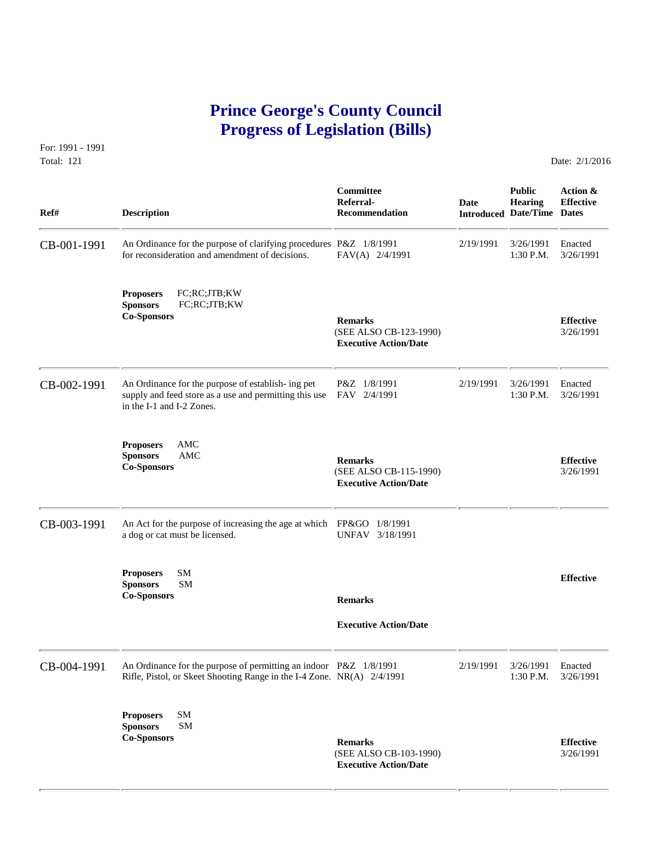# **Prince George's County Council Progress of Legislation (Bills)**

For: 1991 - 1991 Total: 121 Date: 2/1/2016

 **Committee Public Action & Referral- Date Hearing Effective Ref# Description Recommendation Introduced Date/Time Dates** CB-001-1991 An Ordinance for the purpose of clarifying procedures P&Z 1/8/1991 2/19/1991 3/26/1991 Enacted<br>for reconsideration and amendment of decisions. FAV(A) 2/4/1991 1:30 P.M. 3/26/1991 for reconsideration and amendment of decisions. **Proposers** FC;RC;JTB;KW **Sponsors** FC;RC;JTB;KW **Co-Sponsors Remarks Effective** (SEE ALSO CB-123-1990) 3/26/1991  **Executive Action/Date** CB-002-1991 An Ordinance for the purpose of establish- ing pet  $P&Z$  1/8/1991 2/19/1991 3/26/1991 Enacted supply and feed store as a use and permitting this use FAV 2/4/1991 1:30 P.M. 3/26/1991 supply and feed store as a use and permitting this use in the I-1 and I-2 Zones. **Proposers** AMC **Sponsors AMC Remarks Effective Effective Co-Sponsors Effective Co-Sponsors Effective Executive Action/Date** CB-003-1991 An Act for the purpose of increasing the age at which FP&GO 1/8/1991 a dog or cat must be licensed. **Proposers** SM **Effective Sponsors** SM **Co-Sponsors Remarks Executive Action/Date** CB-004-1991 An Ordinance for the purpose of permitting an indoor P&Z 1/8/1991 2/19/1991 3/26/1991 Enacted<br>Rifle, Pistol, or Skeet Shooting Range in the I-4 Zone. NR(A) 2/4/1991 1:30 P.M. 3/26/1991 Rifle, Pistol, or Skeet Shooting Range in the I-4 Zone. NR(A) 2/4/1991 **Proposers** SM **Sponsors** SM **Co-Sponsors Remarks Effective** (SEE ALSO CB-103-1990) 3/26/1991  **Executive Action/Date**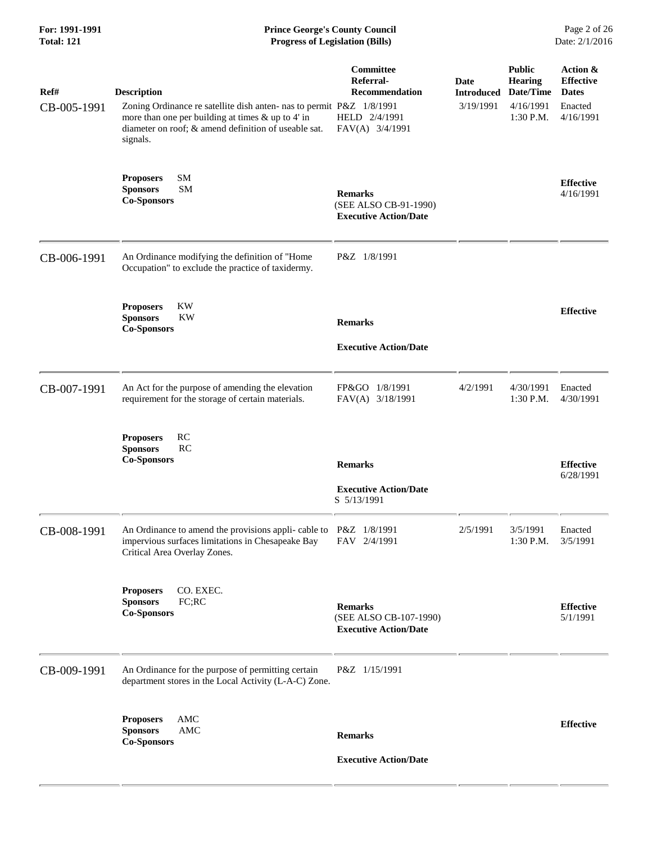## **For: 1991-1991 Prince George's County Council** Page 2 of 26<br> **Prince George's County Council** Page 2 of 26<br> **Progress of Legislation (Bills)** Date: 2/1/2016  $Progress$  of Legislation (Bills)

| Ref#<br>CB-005-1991 | <b>Description</b><br>Zoning Ordinance re satellite dish anten- nas to permit P&Z 1/8/1991<br>more than one per building at times & up to 4' in<br>diameter on roof; & amend definition of useable sat.<br>signals. | Committee<br>Referral-<br><b>Recommendation</b><br>HELD 2/4/1991<br>FAV(A) 3/4/1991 | <b>Date</b><br><b>Introduced</b><br>3/19/1991 | <b>Public</b><br><b>Hearing</b><br>Date/Time<br>4/16/1991<br>$1:30$ P.M. | Action &<br><b>Effective</b><br><b>Dates</b><br>Enacted<br>4/16/1991 |
|---------------------|---------------------------------------------------------------------------------------------------------------------------------------------------------------------------------------------------------------------|-------------------------------------------------------------------------------------|-----------------------------------------------|--------------------------------------------------------------------------|----------------------------------------------------------------------|
|                     | <b>SM</b><br><b>Proposers</b><br>SM<br><b>Sponsors</b><br><b>Co-Sponsors</b>                                                                                                                                        | <b>Remarks</b><br>(SEE ALSO CB-91-1990)<br><b>Executive Action/Date</b>             |                                               |                                                                          | <b>Effective</b><br>4/16/1991                                        |
| CB-006-1991         | An Ordinance modifying the definition of "Home<br>Occupation" to exclude the practice of taxidermy.                                                                                                                 | P&Z 1/8/1991                                                                        |                                               |                                                                          |                                                                      |
|                     | <b>KW</b><br><b>Proposers</b><br><b>Sponsors</b><br><b>KW</b><br><b>Co-Sponsors</b>                                                                                                                                 | <b>Remarks</b><br><b>Executive Action/Date</b>                                      |                                               |                                                                          | <b>Effective</b>                                                     |
| CB-007-1991         | An Act for the purpose of amending the elevation<br>requirement for the storage of certain materials.                                                                                                               | FP&GO 1/8/1991<br>FAV(A) 3/18/1991                                                  | 4/2/1991                                      | 4/30/1991<br>1:30 P.M.                                                   | Enacted<br>4/30/1991                                                 |
|                     | RC<br><b>Proposers</b><br><b>Sponsors</b><br>RC<br><b>Co-Sponsors</b>                                                                                                                                               | <b>Remarks</b><br><b>Executive Action/Date</b><br>S 5/13/1991                       |                                               |                                                                          | <b>Effective</b><br>6/28/1991                                        |
| CB-008-1991         | An Ordinance to amend the provisions appli- cable to P&Z 1/8/1991<br>impervious surfaces limitations in Chesapeake Bay<br>Critical Area Overlay Zones.                                                              | FAV 2/4/1991                                                                        | 2/5/1991                                      | 3/5/1991<br>1:30 P.M.                                                    | Enacted<br>3/5/1991                                                  |
|                     | CO. EXEC.<br><b>Proposers</b><br><b>Sponsors</b><br>FC;RC<br><b>Co-Sponsors</b>                                                                                                                                     | <b>Remarks</b><br>(SEE ALSO CB-107-1990)<br><b>Executive Action/Date</b>            |                                               |                                                                          | <b>Effective</b><br>5/1/1991                                         |
| CB-009-1991         | An Ordinance for the purpose of permitting certain<br>department stores in the Local Activity (L-A-C) Zone.                                                                                                         | P&Z 1/15/1991                                                                       |                                               |                                                                          |                                                                      |
|                     | AMC<br><b>Proposers</b><br><b>Sponsors</b><br>AMC<br><b>Co-Sponsors</b>                                                                                                                                             | <b>Remarks</b><br><b>Executive Action/Date</b>                                      |                                               |                                                                          | <b>Effective</b>                                                     |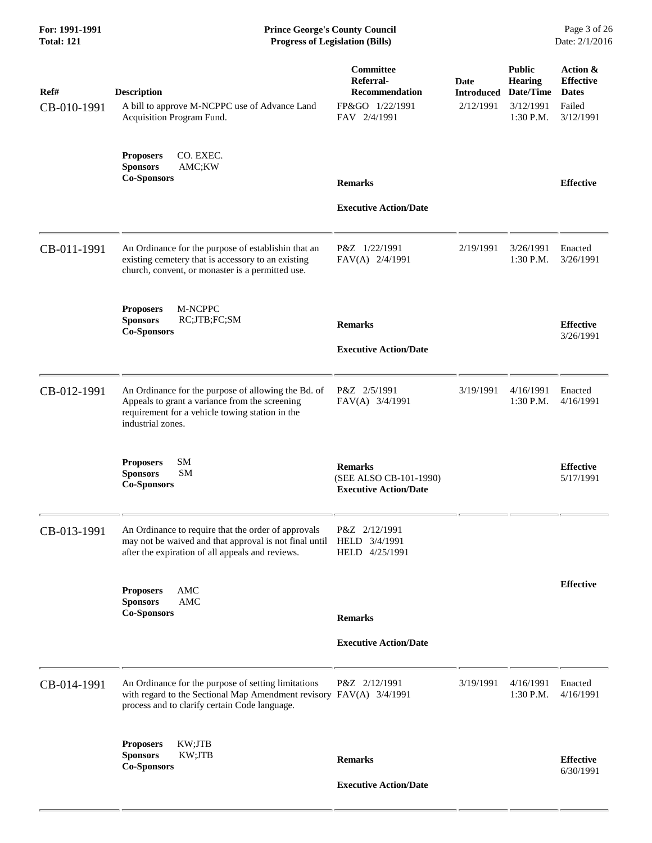| Ref#<br>CB-010-1991 | <b>Description</b><br>A bill to approve M-NCPPC use of Advance Land                                                                                                             | Committee<br>Referral-<br><b>Recommendation</b><br>FP&GO 1/22/1991       | Date<br><b>Introduced</b><br>2/12/1991 | <b>Public</b><br><b>Hearing</b><br>Date/Time<br>3/12/1991 | Action &<br><b>Effective</b><br><b>Dates</b><br>Failed |
|---------------------|---------------------------------------------------------------------------------------------------------------------------------------------------------------------------------|--------------------------------------------------------------------------|----------------------------------------|-----------------------------------------------------------|--------------------------------------------------------|
|                     | Acquisition Program Fund.<br>CO. EXEC.<br><b>Proposers</b>                                                                                                                      | FAV 2/4/1991                                                             |                                        | 1:30 P.M.                                                 | 3/12/1991                                              |
|                     | <b>Sponsors</b><br>AMC;KW<br><b>Co-Sponsors</b>                                                                                                                                 | <b>Remarks</b>                                                           |                                        |                                                           | <b>Effective</b>                                       |
|                     |                                                                                                                                                                                 | <b>Executive Action/Date</b>                                             |                                        |                                                           |                                                        |
| CB-011-1991         | An Ordinance for the purpose of establishin that an<br>existing cemetery that is accessory to an existing<br>church, convent, or monaster is a permitted use.                   | P&Z 1/22/1991<br>FAV(A) 2/4/1991                                         | 2/19/1991                              | 3/26/1991<br>1:30 P.M.                                    | Enacted<br>3/26/1991                                   |
|                     | M-NCPPC<br><b>Proposers</b><br><b>Sponsors</b><br>RC;JTB;FC;SM<br><b>Co-Sponsors</b>                                                                                            | <b>Remarks</b>                                                           |                                        |                                                           | <b>Effective</b><br>3/26/1991                          |
|                     |                                                                                                                                                                                 | <b>Executive Action/Date</b>                                             |                                        |                                                           |                                                        |
| CB-012-1991         | An Ordinance for the purpose of allowing the Bd. of<br>Appeals to grant a variance from the screening<br>requirement for a vehicle towing station in the<br>industrial zones.   | P&Z 2/5/1991<br>FAV(A) 3/4/1991                                          | 3/19/1991                              | 4/16/1991<br>1:30 P.M.                                    | Enacted<br>4/16/1991                                   |
|                     | SM<br><b>Proposers</b><br><b>Sponsors</b><br><b>SM</b><br><b>Co-Sponsors</b>                                                                                                    | <b>Remarks</b><br>(SEE ALSO CB-101-1990)<br><b>Executive Action/Date</b> |                                        |                                                           | <b>Effective</b><br>5/17/1991                          |
| CB-013-1991         | An Ordinance to require that the order of approvals<br>may not be waived and that approval is not final until HELD 3/4/1991<br>after the expiration of all appeals and reviews. | P&Z 2/12/1991<br>HELD 4/25/1991                                          |                                        |                                                           |                                                        |
|                     | AMC<br><b>Proposers</b><br><b>AMC</b><br><b>Sponsors</b>                                                                                                                        |                                                                          |                                        |                                                           | <b>Effective</b>                                       |
|                     | <b>Co-Sponsors</b>                                                                                                                                                              | <b>Remarks</b>                                                           |                                        |                                                           |                                                        |
|                     |                                                                                                                                                                                 | <b>Executive Action/Date</b>                                             |                                        |                                                           |                                                        |
| CB-014-1991         | An Ordinance for the purpose of setting limitations<br>with regard to the Sectional Map Amendment revisory FAV(A) 3/4/1991<br>process and to clarify certain Code language.     | P&Z 2/12/1991                                                            | 3/19/1991                              | 4/16/1991<br>1:30 P.M.                                    | Enacted<br>4/16/1991                                   |
|                     | KW;JTB<br><b>Proposers</b><br><b>Sponsors</b><br>KW;JTB<br><b>Co-Sponsors</b>                                                                                                   | <b>Remarks</b>                                                           |                                        |                                                           | <b>Effective</b><br>6/30/1991                          |
|                     |                                                                                                                                                                                 | <b>Executive Action/Date</b>                                             |                                        |                                                           |                                                        |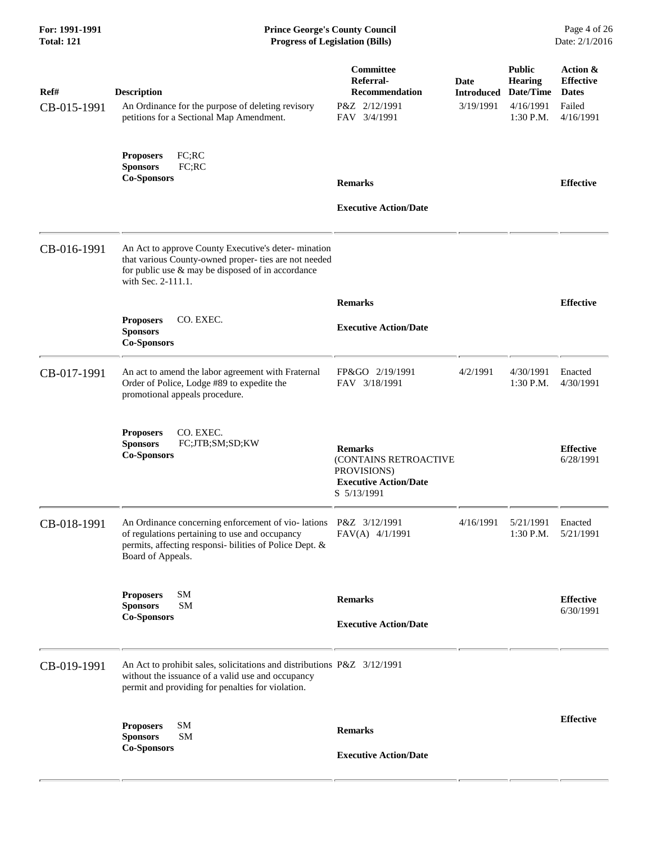# **For: 1991-1991 Prince George's County Council** Page 4 of 26<br> **Prince George's County Council** Page 4 of 26<br> **Progress of Legislation (Bills)** Date: 2/1/2016 **Total: 121 Progress of Legislation (Bills)**

| Ref#<br>CB-015-1991 | <b>Description</b><br>An Ordinance for the purpose of deleting revisory<br>petitions for a Sectional Map Amendment.                                                                               | Committee<br>Referral-<br><b>Recommendation</b><br>P&Z 2/12/1991<br>FAV 3/4/1991                      | Date<br><b>Introduced</b><br>3/19/1991 | <b>Public</b><br><b>Hearing</b><br>Date/Time<br>4/16/1991<br>$1:30$ P.M. | Action &<br><b>Effective</b><br><b>Dates</b><br>Failed<br>4/16/1991 |
|---------------------|---------------------------------------------------------------------------------------------------------------------------------------------------------------------------------------------------|-------------------------------------------------------------------------------------------------------|----------------------------------------|--------------------------------------------------------------------------|---------------------------------------------------------------------|
|                     | FC; RC<br><b>Proposers</b><br><b>Sponsors</b><br>FC;RC<br><b>Co-Sponsors</b>                                                                                                                      | <b>Remarks</b><br><b>Executive Action/Date</b>                                                        |                                        |                                                                          | <b>Effective</b>                                                    |
| CB-016-1991         | An Act to approve County Executive's deter-mination<br>that various County-owned proper- ties are not needed<br>for public use $\&$ may be disposed of in accordance<br>with Sec. 2-111.1.        |                                                                                                       |                                        |                                                                          |                                                                     |
|                     | <b>Proposers</b><br>CO. EXEC.<br><b>Sponsors</b><br><b>Co-Sponsors</b>                                                                                                                            | <b>Remarks</b><br><b>Executive Action/Date</b>                                                        |                                        |                                                                          | <b>Effective</b>                                                    |
| CB-017-1991         | An act to amend the labor agreement with Fraternal<br>Order of Police, Lodge #89 to expedite the<br>promotional appeals procedure.                                                                | FP&GO 2/19/1991<br>FAV 3/18/1991                                                                      | 4/2/1991                               | 4/30/1991<br>1:30 P.M.                                                   | Enacted<br>4/30/1991                                                |
|                     | CO. EXEC.<br><b>Proposers</b><br>FC;JTB;SM;SD;KW<br><b>Sponsors</b><br><b>Co-Sponsors</b>                                                                                                         | <b>Remarks</b><br>(CONTAINS RETROACTIVE<br>PROVISIONS)<br><b>Executive Action/Date</b><br>S 5/13/1991 |                                        |                                                                          | <b>Effective</b><br>6/28/1991                                       |
| CB-018-1991         | An Ordinance concerning enforcement of vio-lations P&Z 3/12/1991<br>of regulations pertaining to use and occupancy<br>permits, affecting responsi-bilities of Police Dept. &<br>Board of Appeals. | FAV(A) 4/1/1991                                                                                       | 4/16/1991                              | 5/21/1991<br>1:30 P.M.                                                   | Enacted<br>5/21/1991                                                |
|                     | SM<br><b>Proposers</b><br><b>SM</b><br><b>Sponsors</b><br><b>Co-Sponsors</b>                                                                                                                      | <b>Remarks</b><br><b>Executive Action/Date</b>                                                        |                                        |                                                                          | <b>Effective</b><br>6/30/1991                                       |
| CB-019-1991         | An Act to prohibit sales, solicitations and distributions P&Z 3/12/1991<br>without the issuance of a valid use and occupancy<br>permit and providing for penalties for violation.                 |                                                                                                       |                                        |                                                                          |                                                                     |
|                     | SM<br><b>Proposers</b><br><b>Sponsors</b><br><b>SM</b><br><b>Co-Sponsors</b>                                                                                                                      | <b>Remarks</b><br><b>Executive Action/Date</b>                                                        |                                        |                                                                          | <b>Effective</b>                                                    |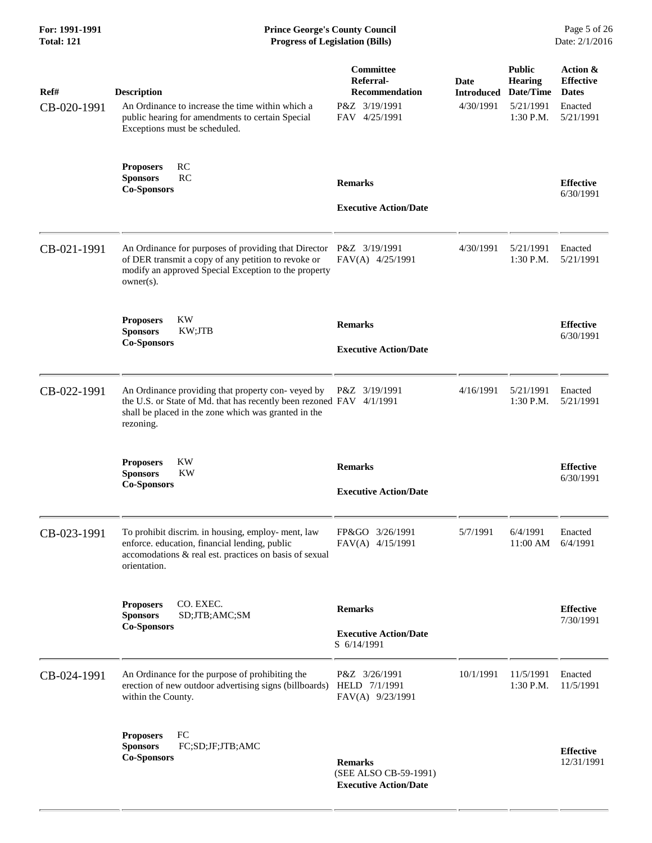# **For: 1991-1991 Prince George's County Council** Page 5 of 26<br> **Formal** Page 5 of 26<br> **Progress of Legislation (Bills)** Date: 2/1/2016 **Total: 121 Progress of Legislation (Bills)**

| Ref#<br>CB-020-1991 | <b>Description</b><br>An Ordinance to increase the time within which a<br>public hearing for amendments to certain Special<br>Exceptions must be scheduled.                                    | Committee<br>Referral-<br><b>Recommendation</b><br>P&Z 3/19/1991<br>FAV 4/25/1991 | Date<br><b>Introduced</b><br>4/30/1991 | <b>Public</b><br><b>Hearing</b><br>Date/Time<br>5/21/1991<br>1:30 P.M. | Action &<br><b>Effective</b><br><b>Dates</b><br>Enacted<br>5/21/1991 |
|---------------------|------------------------------------------------------------------------------------------------------------------------------------------------------------------------------------------------|-----------------------------------------------------------------------------------|----------------------------------------|------------------------------------------------------------------------|----------------------------------------------------------------------|
|                     | <b>RC</b><br><b>Proposers</b><br>RC<br><b>Sponsors</b><br><b>Co-Sponsors</b>                                                                                                                   | <b>Remarks</b><br><b>Executive Action/Date</b>                                    |                                        |                                                                        | <b>Effective</b><br>6/30/1991                                        |
| CB-021-1991         | An Ordinance for purposes of providing that Director<br>of DER transmit a copy of any petition to revoke or<br>modify an approved Special Exception to the property<br>$owner(s)$ .            | P&Z 3/19/1991<br>FAV(A) 4/25/1991                                                 | 4/30/1991                              | 5/21/1991<br>1:30 P.M.                                                 | Enacted<br>5/21/1991                                                 |
|                     | <b>KW</b><br><b>Proposers</b><br><b>Sponsors</b><br>KW;JTB<br><b>Co-Sponsors</b>                                                                                                               | <b>Remarks</b><br><b>Executive Action/Date</b>                                    |                                        |                                                                        | <b>Effective</b><br>6/30/1991                                        |
| CB-022-1991         | An Ordinance providing that property con-veyed by<br>the U.S. or State of Md. that has recently been rezoned FAV 4/1/1991<br>shall be placed in the zone which was granted in the<br>rezoning. | P&Z 3/19/1991                                                                     | 4/16/1991                              | 5/21/1991<br>1:30 P.M.                                                 | Enacted<br>5/21/1991                                                 |
|                     | KW<br><b>Proposers</b><br><b>Sponsors</b><br>KW<br><b>Co-Sponsors</b>                                                                                                                          | <b>Remarks</b><br><b>Executive Action/Date</b>                                    |                                        |                                                                        | <b>Effective</b><br>6/30/1991                                        |
| CB-023-1991         | To prohibit discrim. in housing, employ-ment, law<br>enforce. education, financial lending, public<br>accomodations & real est. practices on basis of sexual<br>orientation.                   | FP&GO 3/26/1991<br>FAV(A) 4/15/1991                                               | 5/7/1991                               | 6/4/1991<br>11:00 AM                                                   | Enacted<br>6/4/1991                                                  |
|                     | CO. EXEC.<br><b>Proposers</b><br>SD;JTB;AMC;SM<br><b>Sponsors</b><br><b>Co-Sponsors</b>                                                                                                        | <b>Remarks</b><br><b>Executive Action/Date</b><br>S 6/14/1991                     |                                        |                                                                        | <b>Effective</b><br>7/30/1991                                        |
| CB-024-1991         | An Ordinance for the purpose of prohibiting the<br>erection of new outdoor advertising signs (billboards)<br>within the County.                                                                | P&Z 3/26/1991<br>HELD 7/1/1991<br>FAV(A) 9/23/1991                                | 10/1/1991                              | 11/5/1991<br>1:30 P.M.                                                 | Enacted<br>11/5/1991                                                 |
|                     | FC<br><b>Proposers</b><br>FC;SD;JF;JTB;AMC<br><b>Sponsors</b><br><b>Co-Sponsors</b>                                                                                                            | <b>Remarks</b><br>(SEE ALSO CB-59-1991)<br><b>Executive Action/Date</b>           |                                        |                                                                        | <b>Effective</b><br>12/31/1991                                       |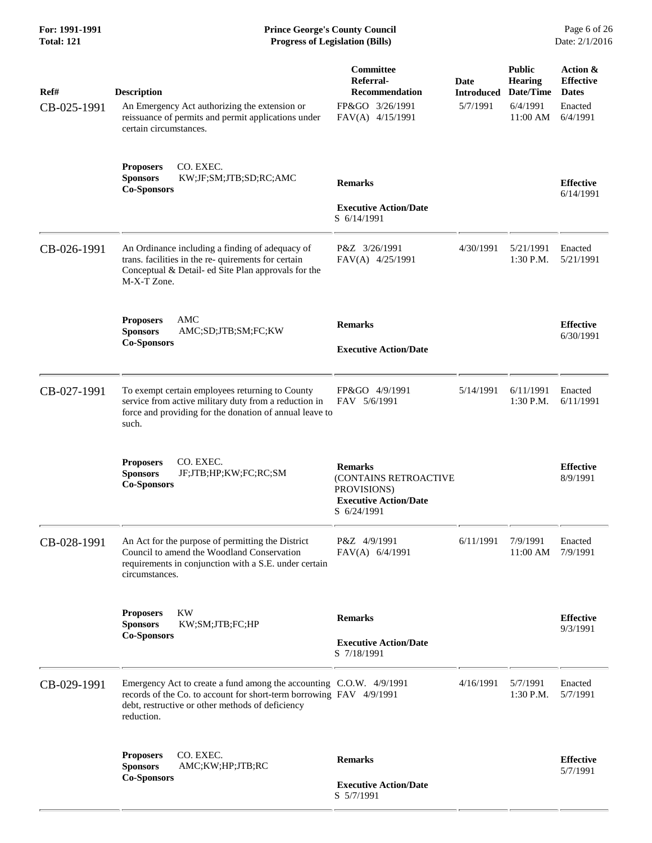# **For: 1991-1991 Prince George's County Council** Page 6 of 26<br> **Formal** Page 6 of 26<br> **Progress of Legislation (Bills)** Date: 2/1/2016 **Total: 121 Progress of Legislation (Bills)**

| Ref#<br>CB-025-1991 | <b>Description</b><br>An Emergency Act authorizing the extension or<br>reissuance of permits and permit applications under<br>certain circumstances.                                                         | Committee<br>Referral-<br><b>Recommendation</b><br>FP&GO 3/26/1991<br>FAV(A) 4/15/1991                | Date<br><b>Introduced</b><br>5/7/1991 | <b>Public</b><br><b>Hearing</b><br>Date/Time<br>6/4/1991<br>11:00 AM | Action &<br><b>Effective</b><br><b>Dates</b><br>Enacted<br>6/4/1991 |
|---------------------|--------------------------------------------------------------------------------------------------------------------------------------------------------------------------------------------------------------|-------------------------------------------------------------------------------------------------------|---------------------------------------|----------------------------------------------------------------------|---------------------------------------------------------------------|
|                     | <b>Proposers</b><br>CO. EXEC.<br>KW;JF;SM;JTB;SD;RC;AMC<br><b>Sponsors</b><br><b>Co-Sponsors</b>                                                                                                             | <b>Remarks</b><br><b>Executive Action/Date</b><br>S 6/14/1991                                         |                                       |                                                                      | <b>Effective</b><br>6/14/1991                                       |
| CB-026-1991         | An Ordinance including a finding of adequacy of<br>trans. facilities in the re- quirements for certain<br>Conceptual & Detail- ed Site Plan approvals for the<br>M-X-T Zone.                                 | P&Z 3/26/1991<br>FAV(A) 4/25/1991                                                                     | 4/30/1991                             | 5/21/1991<br>1:30 P.M.                                               | Enacted<br>5/21/1991                                                |
|                     | AMC<br><b>Proposers</b><br><b>Sponsors</b><br>AMC;SD;JTB;SM;FC;KW<br><b>Co-Sponsors</b>                                                                                                                      | <b>Remarks</b><br><b>Executive Action/Date</b>                                                        |                                       |                                                                      | <b>Effective</b><br>6/30/1991                                       |
| CB-027-1991         | To exempt certain employees returning to County<br>service from active military duty from a reduction in<br>force and providing for the donation of annual leave to<br>such.                                 | FP&GO 4/9/1991<br>FAV 5/6/1991                                                                        | 5/14/1991                             | 6/11/1991<br>1:30 P.M.                                               | Enacted<br>6/11/1991                                                |
|                     | CO. EXEC.<br><b>Proposers</b><br><b>Sponsors</b><br>JF;JTB;HP;KW;FC;RC;SM<br><b>Co-Sponsors</b>                                                                                                              | <b>Remarks</b><br>(CONTAINS RETROACTIVE<br>PROVISIONS)<br><b>Executive Action/Date</b><br>S 6/24/1991 |                                       |                                                                      | <b>Effective</b><br>8/9/1991                                        |
| CB-028-1991         | An Act for the purpose of permitting the District<br>Council to amend the Woodland Conservation<br>requirements in conjunction with a S.E. under certain<br>circumstances.                                   | P&Z 4/9/1991<br>FAV(A) 6/4/1991                                                                       | 6/11/1991                             | 7/9/1991<br>11:00 AM                                                 | Enacted<br>7/9/1991                                                 |
|                     | <b>KW</b><br><b>Proposers</b><br><b>Sponsors</b><br>KW;SM;JTB;FC;HP<br><b>Co-Sponsors</b>                                                                                                                    | <b>Remarks</b><br><b>Executive Action/Date</b><br>S 7/18/1991                                         |                                       |                                                                      | <b>Effective</b><br>9/3/1991                                        |
| CB-029-1991         | Emergency Act to create a fund among the accounting C.O.W. 4/9/1991<br>records of the Co. to account for short-term borrowing FAV 4/9/1991<br>debt, restructive or other methods of deficiency<br>reduction. |                                                                                                       | 4/16/1991                             | 5/7/1991<br>1:30 P.M.                                                | Enacted<br>5/7/1991                                                 |
|                     | CO. EXEC.<br><b>Proposers</b><br><b>Sponsors</b><br>AMC;KW;HP;JTB;RC<br><b>Co-Sponsors</b>                                                                                                                   | <b>Remarks</b><br><b>Executive Action/Date</b><br>S 5/7/1991                                          |                                       |                                                                      | <b>Effective</b><br>5/7/1991                                        |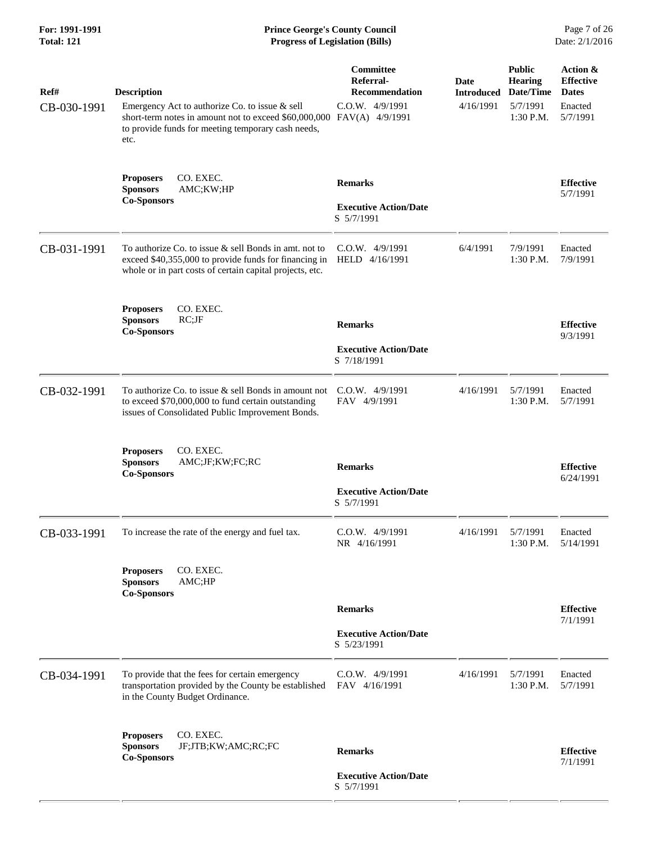| For: 1991-1991<br><b>Total: 121</b> | <b>Prince George's County Council</b><br>Date: 2/1/2016<br><b>Progress of Legislation (Bills)</b>                                                                                                           |                                                                    |                                        |                                                                       |                                                                     |
|-------------------------------------|-------------------------------------------------------------------------------------------------------------------------------------------------------------------------------------------------------------|--------------------------------------------------------------------|----------------------------------------|-----------------------------------------------------------------------|---------------------------------------------------------------------|
| Ref#<br>CB-030-1991                 | <b>Description</b><br>Emergency Act to authorize Co. to issue & sell<br>short-term notes in amount not to exceed \$60,000,000 FAV(A) 4/9/1991<br>to provide funds for meeting temporary cash needs,<br>etc. | Committee<br>Referral-<br><b>Recommendation</b><br>C.O.W. 4/9/1991 | Date<br><b>Introduced</b><br>4/16/1991 | <b>Public</b><br><b>Hearing</b><br>Date/Time<br>5/7/1991<br>1:30 P.M. | Action &<br><b>Effective</b><br><b>Dates</b><br>Enacted<br>5/7/1991 |
|                                     | CO. EXEC.<br><b>Proposers</b><br><b>Sponsors</b><br>AMC;KW;HP<br><b>Co-Sponsors</b>                                                                                                                         | <b>Remarks</b><br><b>Executive Action/Date</b><br>S 5/7/1991       |                                        |                                                                       | <b>Effective</b><br>5/7/1991                                        |
| CB-031-1991                         | To authorize Co. to issue $&$ sell Bonds in amt. not to<br>exceed \$40,355,000 to provide funds for financing in<br>whole or in part costs of certain capital projects, etc.                                | $C.0.W.$ 4/9/1991<br>HELD 4/16/1991                                | 6/4/1991                               | 7/9/1991<br>1:30 P.M.                                                 | Enacted<br>7/9/1991                                                 |
|                                     | CO. EXEC.<br><b>Proposers</b><br><b>Sponsors</b><br>$RC;$ J $F$<br><b>Co-Sponsors</b>                                                                                                                       | <b>Remarks</b><br><b>Executive Action/Date</b><br>S 7/18/1991      |                                        |                                                                       | <b>Effective</b><br>9/3/1991                                        |
| CB-032-1991                         | To authorize Co. to issue $\&$ sell Bonds in amount not<br>to exceed \$70,000,000 to fund certain outstanding<br>issues of Consolidated Public Improvement Bonds.                                           | $C.O.W.$ 4/9/1991<br>FAV 4/9/1991                                  | 4/16/1991                              | 5/7/1991<br>1:30 P.M.                                                 | Enacted<br>5/7/1991                                                 |
|                                     | <b>Proposers</b><br>CO. EXEC.<br><b>Sponsors</b><br>AMC;JF;KW;FC;RC<br><b>Co-Sponsors</b>                                                                                                                   | <b>Remarks</b><br><b>Executive Action/Date</b><br>S 5/7/1991       |                                        |                                                                       | <b>Effective</b><br>6/24/1991                                       |
| CB-033-1991                         | To increase the rate of the energy and fuel tax.                                                                                                                                                            | C.O.W. 4/9/1991<br>NR 4/16/1991                                    | 4/16/1991                              | 5/7/1991<br>1:30 P.M.                                                 | Enacted<br>5/14/1991                                                |
|                                     | CO. EXEC.<br><b>Proposers</b><br><b>Sponsors</b><br>AMC;HP<br><b>Co-Sponsors</b>                                                                                                                            | <b>Remarks</b>                                                     |                                        |                                                                       | <b>Effective</b><br>7/1/1991                                        |
|                                     |                                                                                                                                                                                                             | <b>Executive Action/Date</b><br>S 5/23/1991                        |                                        |                                                                       |                                                                     |
| CB-034-1991                         | To provide that the fees for certain emergency<br>transportation provided by the County be established<br>in the County Budget Ordinance.                                                                   | $C.0.W.$ 4/9/1991<br>FAV 4/16/1991                                 | 4/16/1991                              | 5/7/1991<br>1:30 P.M.                                                 | Enacted<br>5/7/1991                                                 |
|                                     | CO. EXEC.<br><b>Proposers</b><br><b>Sponsors</b><br>JF;JTB;KW;AMC;RC;FC<br><b>Co-Sponsors</b>                                                                                                               | <b>Remarks</b><br><b>Executive Action/Date</b><br>S 5/7/1991       |                                        |                                                                       | <b>Effective</b><br>7/1/1991                                        |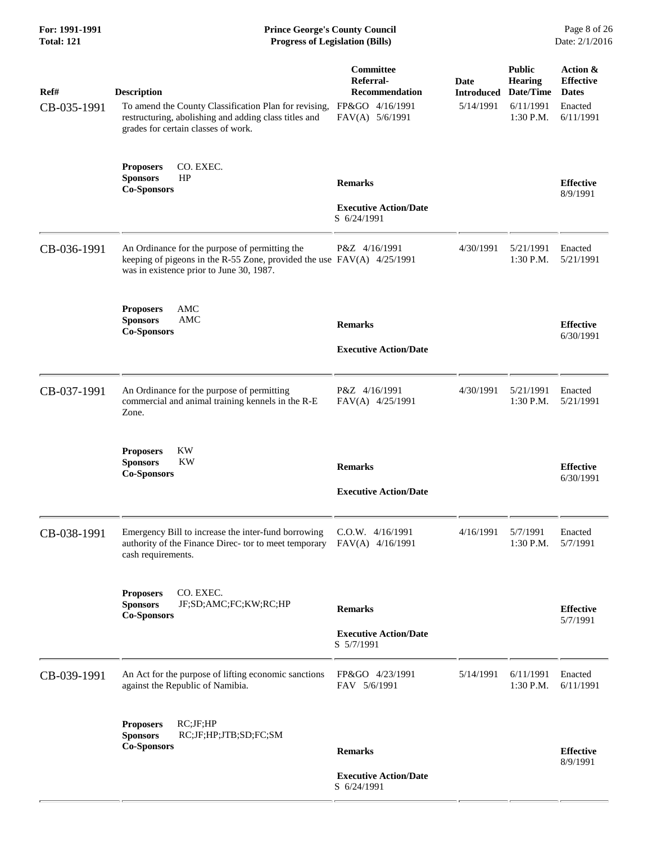| For: 1991-1991<br><b>Total: 121</b> | <b>Prince George's County Council</b><br><b>Progress of Legislation (Bills)</b>                                                                                             |                                                                                |                                               |                                                                        | Page 8 of 26<br>Date: 2/1/2016                                       |  |
|-------------------------------------|-----------------------------------------------------------------------------------------------------------------------------------------------------------------------------|--------------------------------------------------------------------------------|-----------------------------------------------|------------------------------------------------------------------------|----------------------------------------------------------------------|--|
| Ref#<br>CB-035-1991                 | <b>Description</b><br>To amend the County Classification Plan for revising,<br>restructuring, abolishing and adding class titles and<br>grades for certain classes of work. | Committee<br>Referral-<br>Recommendation<br>FP&GO 4/16/1991<br>FAV(A) 5/6/1991 | <b>Date</b><br><b>Introduced</b><br>5/14/1991 | <b>Public</b><br><b>Hearing</b><br>Date/Time<br>6/11/1991<br>1:30 P.M. | Action &<br><b>Effective</b><br><b>Dates</b><br>Enacted<br>6/11/1991 |  |
|                                     | <b>Proposers</b><br>CO. EXEC.<br>HP<br><b>Sponsors</b><br><b>Co-Sponsors</b>                                                                                                | <b>Remarks</b><br><b>Executive Action/Date</b><br>S 6/24/1991                  |                                               |                                                                        | <b>Effective</b><br>8/9/1991                                         |  |
| CB-036-1991                         | An Ordinance for the purpose of permitting the<br>keeping of pigeons in the R-55 Zone, provided the use $FAV(A)$ 4/25/1991<br>was in existence prior to June 30, 1987.      | P&Z 4/16/1991                                                                  | 4/30/1991                                     | 5/21/1991<br>1:30 P.M.                                                 | Enacted<br>5/21/1991                                                 |  |
|                                     | AMC<br><b>Proposers</b><br><b>Sponsors</b><br>AMC<br><b>Co-Sponsors</b>                                                                                                     | <b>Remarks</b><br><b>Executive Action/Date</b>                                 |                                               |                                                                        | <b>Effective</b><br>6/30/1991                                        |  |
| CB-037-1991                         | An Ordinance for the purpose of permitting<br>commercial and animal training kennels in the R-E<br>Zone.                                                                    | P&Z 4/16/1991<br>FAV(A) 4/25/1991                                              | 4/30/1991                                     | 5/21/1991<br>1:30 P.M.                                                 | Enacted<br>5/21/1991                                                 |  |
|                                     | <b>Proposers</b><br>KW<br><b>Sponsors</b><br>KW<br><b>Co-Sponsors</b>                                                                                                       | <b>Remarks</b><br><b>Executive Action/Date</b>                                 |                                               |                                                                        | <b>Effective</b><br>6/30/1991                                        |  |
| CB-038-1991                         | Emergency Bill to increase the inter-fund borrowing<br>authority of the Finance Direc- tor to meet temporary<br>cash requirements.                                          | C.O.W. 4/16/1991<br>FAV(A) 4/16/1991                                           | 4/16/1991                                     | 5/7/1991<br>1:30 P.M.                                                  | Enacted<br>5/7/1991                                                  |  |
|                                     | CO. EXEC.<br><b>Proposers</b><br><b>Sponsors</b><br>JF;SD;AMC;FC;KW;RC;HP<br><b>Co-Sponsors</b>                                                                             | <b>Remarks</b><br><b>Executive Action/Date</b><br>S 5/7/1991                   |                                               |                                                                        | <b>Effective</b><br>5/7/1991                                         |  |
| CB-039-1991                         | An Act for the purpose of lifting economic sanctions<br>against the Republic of Namibia.                                                                                    | FP&GO 4/23/1991<br>FAV 5/6/1991                                                | 5/14/1991                                     | 6/11/1991<br>1:30 P.M.                                                 | Enacted<br>6/11/1991                                                 |  |
|                                     | RC;JF;HP<br><b>Proposers</b><br><b>Sponsors</b><br>RC;JF;HP;JTB;SD;FC;SM<br><b>Co-Sponsors</b>                                                                              | <b>Remarks</b><br><b>Executive Action/Date</b><br>S 6/24/1991                  |                                               |                                                                        | <b>Effective</b><br>8/9/1991                                         |  |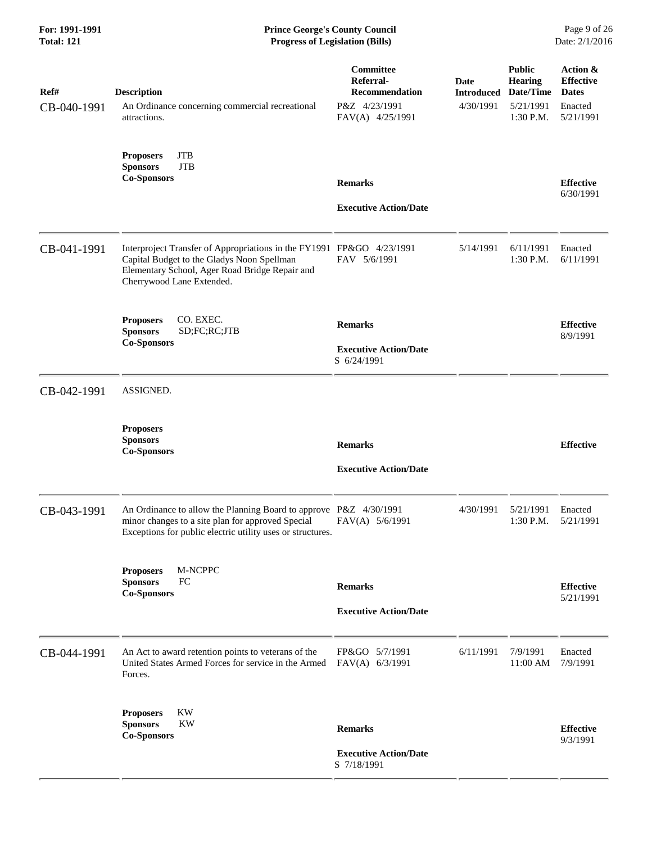| Ref#<br>CB-040-1991 | <b>Description</b><br>An Ordinance concerning commercial recreational<br>attractions.                                                                                                              | Committee<br>Referral-<br><b>Recommendation</b><br>P&Z 4/23/1991<br>FAV(A) 4/25/1991 | Date<br><b>Introduced</b><br>4/30/1991 | <b>Public</b><br><b>Hearing</b><br>Date/Time<br>5/21/1991<br>1:30 P.M. | Action &<br><b>Effective</b><br><b>Dates</b><br>Enacted<br>5/21/1991 |
|---------------------|----------------------------------------------------------------------------------------------------------------------------------------------------------------------------------------------------|--------------------------------------------------------------------------------------|----------------------------------------|------------------------------------------------------------------------|----------------------------------------------------------------------|
|                     | <b>JTB</b><br><b>Proposers</b><br><b>Sponsors</b><br><b>JTB</b><br><b>Co-Sponsors</b>                                                                                                              | <b>Remarks</b><br><b>Executive Action/Date</b>                                       |                                        |                                                                        | <b>Effective</b><br>6/30/1991                                        |
| CB-041-1991         | Interproject Transfer of Appropriations in the FY1991 FP&GO 4/23/1991<br>Capital Budget to the Gladys Noon Spellman<br>Elementary School, Ager Road Bridge Repair and<br>Cherrywood Lane Extended. | FAV 5/6/1991                                                                         | 5/14/1991                              | 6/11/1991<br>1:30 P.M.                                                 | Enacted<br>6/11/1991                                                 |
|                     | CO. EXEC.<br><b>Proposers</b><br><b>Sponsors</b><br>SD;FC;RC;JTB<br><b>Co-Sponsors</b>                                                                                                             | <b>Remarks</b><br><b>Executive Action/Date</b><br>S 6/24/1991                        |                                        |                                                                        | <b>Effective</b><br>8/9/1991                                         |
| CB-042-1991         | ASSIGNED.                                                                                                                                                                                          |                                                                                      |                                        |                                                                        |                                                                      |
|                     | <b>Proposers</b><br><b>Sponsors</b><br><b>Co-Sponsors</b>                                                                                                                                          | <b>Remarks</b><br><b>Executive Action/Date</b>                                       |                                        |                                                                        | <b>Effective</b>                                                     |
| CB-043-1991         | An Ordinance to allow the Planning Board to approve P&Z 4/30/1991<br>minor changes to a site plan for approved Special<br>Exceptions for public electric utility uses or structures.               | FAV(A) 5/6/1991                                                                      | 4/30/1991                              | 5/21/1991<br>1:30 P.M.                                                 | Enacted<br>5/21/1991                                                 |
|                     | M-NCPPC<br><b>Proposers</b><br><b>Sponsors</b><br>FC<br><b>Co-Sponsors</b>                                                                                                                         | <b>Remarks</b><br><b>Executive Action/Date</b>                                       |                                        |                                                                        | <b>Effective</b><br>5/21/1991                                        |
| CB-044-1991         | An Act to award retention points to veterans of the<br>United States Armed Forces for service in the Armed<br>Forces.                                                                              | FP&GO 5/7/1991<br>FAV(A) 6/3/1991                                                    | 6/11/1991                              | 7/9/1991<br>11:00 AM                                                   | Enacted<br>7/9/1991                                                  |
|                     | <b>KW</b><br><b>Proposers</b><br>KW<br><b>Sponsors</b><br><b>Co-Sponsors</b>                                                                                                                       | <b>Remarks</b><br><b>Executive Action/Date</b><br>S 7/18/1991                        |                                        |                                                                        | <b>Effective</b><br>9/3/1991                                         |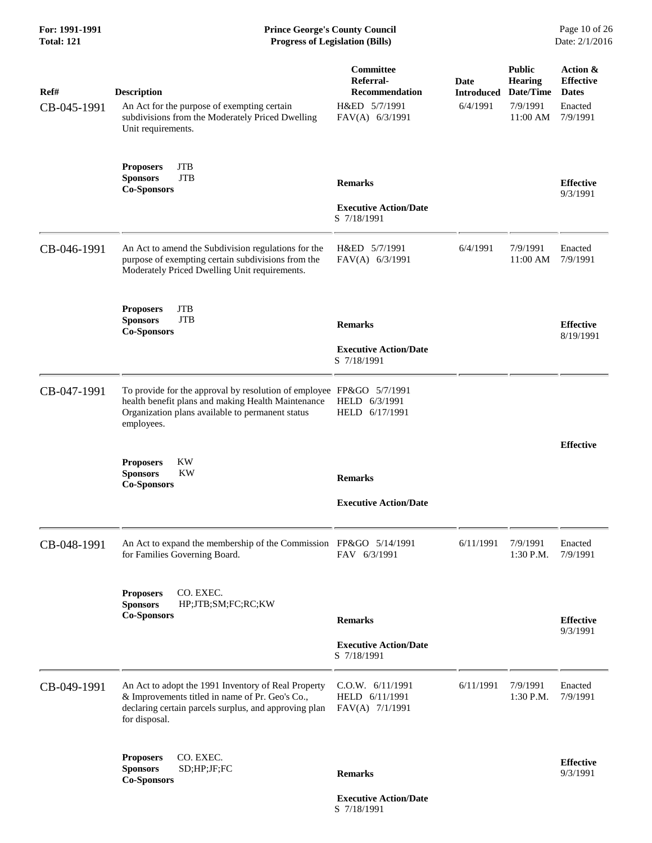# **For: 1991-1991 Prince George's County Council** Page 10 of 26<br> **Prince George's County Council** Page 10 of 26<br> **Progress of Legislation (Bills)** Date: 2/1/2016 **Total: 121 Progress of Legislation (Bills)**

| Ref#<br>CB-045-1991 | <b>Description</b><br>An Act for the purpose of exempting certain<br>subdivisions from the Moderately Priced Dwelling<br>Unit requirements.                                                  | Committee<br>Referral-<br><b>Recommendation</b><br>H&ED 5/7/1991<br>FAV(A) 6/3/1991 | <b>Date</b><br><b>Introduced</b><br>6/4/1991 | <b>Public</b><br>Hearing<br>Date/Time<br>7/9/1991<br>11:00 AM | Action &<br><b>Effective</b><br><b>Dates</b><br>Enacted<br>7/9/1991 |
|---------------------|----------------------------------------------------------------------------------------------------------------------------------------------------------------------------------------------|-------------------------------------------------------------------------------------|----------------------------------------------|---------------------------------------------------------------|---------------------------------------------------------------------|
|                     | <b>Proposers</b><br><b>JTB</b><br><b>Sponsors</b><br><b>JTB</b><br><b>Co-Sponsors</b>                                                                                                        | <b>Remarks</b><br><b>Executive Action/Date</b><br>S 7/18/1991                       |                                              |                                                               | <b>Effective</b><br>9/3/1991                                        |
| CB-046-1991         | An Act to amend the Subdivision regulations for the<br>purpose of exempting certain subdivisions from the<br>Moderately Priced Dwelling Unit requirements.                                   | H&ED 5/7/1991<br>FAV(A) 6/3/1991                                                    | 6/4/1991                                     | 7/9/1991<br>11:00 AM                                          | Enacted<br>7/9/1991                                                 |
|                     | <b>JTB</b><br><b>Proposers</b><br><b>Sponsors</b><br><b>JTB</b><br><b>Co-Sponsors</b>                                                                                                        | <b>Remarks</b><br><b>Executive Action/Date</b><br>S 7/18/1991                       |                                              |                                                               | <b>Effective</b><br>8/19/1991                                       |
| CB-047-1991         | To provide for the approval by resolution of employee FP&GO 5/7/1991<br>health benefit plans and making Health Maintenance<br>Organization plans available to permanent status<br>employees. | HELD 6/3/1991<br>HELD 6/17/1991                                                     |                                              |                                                               |                                                                     |
|                     | <b>KW</b><br><b>Proposers</b><br><b>Sponsors</b><br><b>KW</b><br><b>Co-Sponsors</b>                                                                                                          | <b>Remarks</b><br><b>Executive Action/Date</b>                                      |                                              |                                                               | <b>Effective</b>                                                    |
| CB-048-1991         | An Act to expand the membership of the Commission FP&GO 5/14/1991<br>for Families Governing Board.                                                                                           | FAV 6/3/1991                                                                        | 6/11/1991                                    | 7/9/1991<br>1:30 P.M.                                         | Enacted<br>7/9/1991                                                 |
|                     | CO. EXEC.<br><b>Proposers</b><br><b>Sponsors</b><br>HP;JTB;SM;FC;RC;KW<br><b>Co-Sponsors</b>                                                                                                 | <b>Remarks</b><br><b>Executive Action/Date</b><br>S 7/18/1991                       |                                              |                                                               | <b>Effective</b><br>9/3/1991                                        |
| CB-049-1991         | An Act to adopt the 1991 Inventory of Real Property<br>& Improvements titled in name of Pr. Geo's Co.,<br>declaring certain parcels surplus, and approving plan<br>for disposal.             | C.O.W. 6/11/1991<br>HELD 6/11/1991<br>FAV(A) 7/1/1991                               | 6/11/1991                                    | 7/9/1991<br>1:30 P.M.                                         | Enacted<br>7/9/1991                                                 |
|                     | CO. EXEC.<br><b>Proposers</b><br>SD;HP;JF;FC<br><b>Sponsors</b><br><b>Co-Sponsors</b>                                                                                                        | <b>Remarks</b><br><b>Executive Action/Date</b>                                      |                                              |                                                               | <b>Effective</b><br>9/3/1991                                        |

S 7/18/1991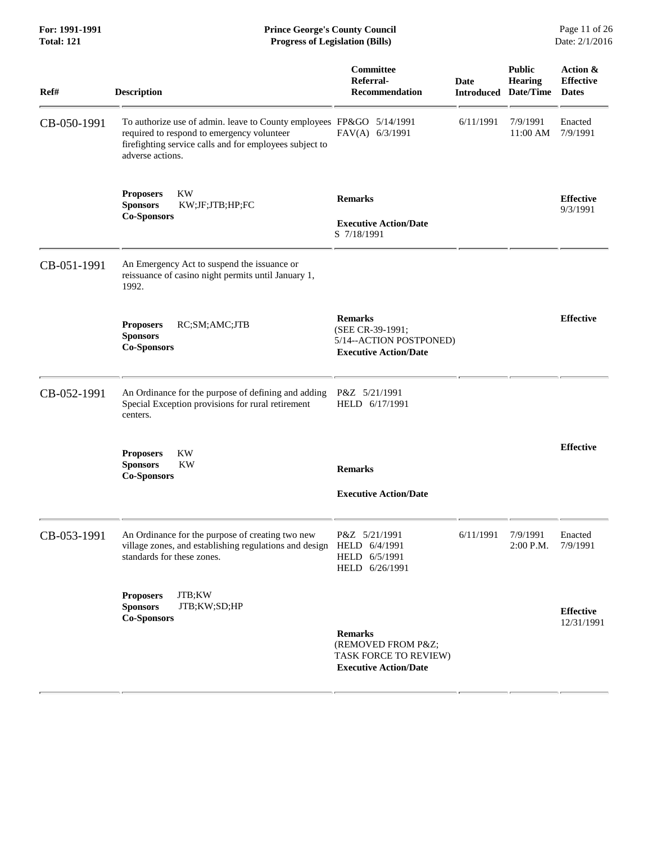**For: 1991-1991 Prince George's County Council** Page 11 of 26<br> **Prince George's County Council** Page 11 of 26<br> **Progress of Legislation (Bills)** Date: 2/1/2016 **Total: 121 Progress of Legislation (Bills)** 

| Ref#        | <b>Description</b>                                                                                                                                                                                | <b>Committee</b><br>Referral-<br><b>Recommendation</b>                                        | Date<br><b>Introduced</b> | <b>Public</b><br><b>Hearing</b><br>Date/Time | Action &<br><b>Effective</b><br><b>Dates</b> |
|-------------|---------------------------------------------------------------------------------------------------------------------------------------------------------------------------------------------------|-----------------------------------------------------------------------------------------------|---------------------------|----------------------------------------------|----------------------------------------------|
| CB-050-1991 | To authorize use of admin. leave to County employees FP&GO 5/14/1991<br>required to respond to emergency volunteer<br>firefighting service calls and for employees subject to<br>adverse actions. | FAV(A) 6/3/1991                                                                               | 6/11/1991                 | 7/9/1991<br>11:00 AM                         | Enacted<br>7/9/1991                          |
|             | KW<br><b>Proposers</b><br><b>Sponsors</b><br>KW;JF;JTB;HP;FC<br><b>Co-Sponsors</b>                                                                                                                | <b>Remarks</b><br><b>Executive Action/Date</b><br>S 7/18/1991                                 |                           |                                              | <b>Effective</b><br>9/3/1991                 |
| CB-051-1991 | An Emergency Act to suspend the issuance or<br>reissuance of casino night permits until January 1,<br>1992.                                                                                       |                                                                                               |                           |                                              |                                              |
|             | RC;SM;AMC;JTB<br><b>Proposers</b><br><b>Sponsors</b><br><b>Co-Sponsors</b>                                                                                                                        | <b>Remarks</b><br>(SEE CR-39-1991;<br>5/14--ACTION POSTPONED)<br><b>Executive Action/Date</b> |                           |                                              | <b>Effective</b>                             |
| CB-052-1991 | An Ordinance for the purpose of defining and adding<br>Special Exception provisions for rural retirement<br>centers.                                                                              | P&Z 5/21/1991<br>HELD 6/17/1991                                                               |                           |                                              |                                              |
|             | <b>KW</b><br><b>Proposers</b><br><b>Sponsors</b><br><b>KW</b><br><b>Co-Sponsors</b>                                                                                                               | <b>Remarks</b><br><b>Executive Action/Date</b>                                                |                           |                                              | <b>Effective</b>                             |
| CB-053-1991 | An Ordinance for the purpose of creating two new<br>village zones, and establishing regulations and design HELD 6/4/1991<br>standards for these zones.                                            | P&Z 5/21/1991<br>HELD 6/5/1991<br>HELD 6/26/1991                                              | 6/11/1991                 | 7/9/1991<br>2:00 P.M. 7/9/1991               | Enacted                                      |
|             | JTB;KW<br><b>Proposers</b><br>JTB;KW;SD;HP<br><b>Sponsors</b><br><b>Co-Sponsors</b>                                                                                                               | <b>Remarks</b><br>(REMOVED FROM P&Z<br>TASK FORCE TO REVIEW)<br><b>Executive Action/Date</b>  |                           |                                              | <b>Effective</b><br>12/31/1991               |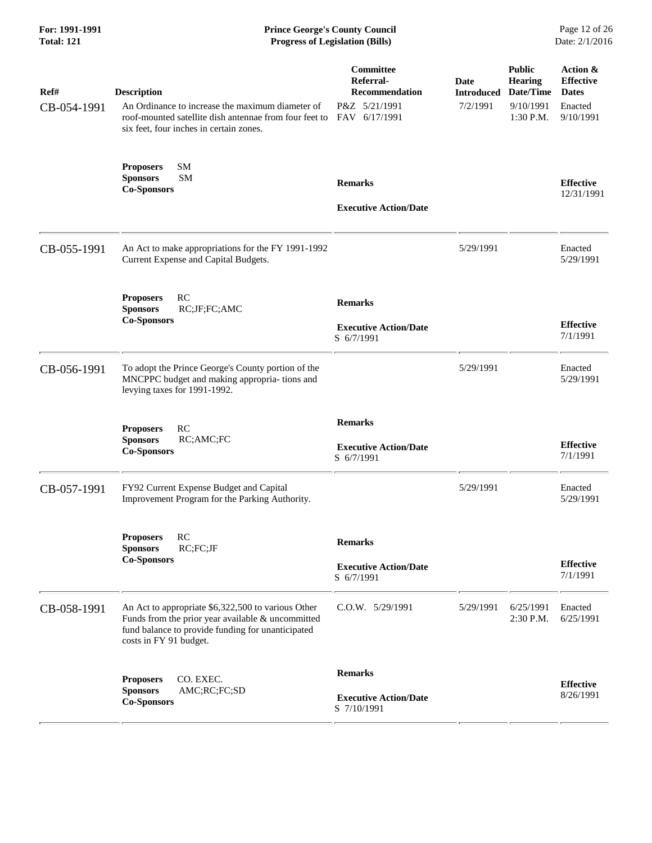| For: 1991-1991<br><b>Total: 121</b> | <b>Prince George's County Council</b><br><b>Progress of Legislation (Bills)</b>                                                                                                          |                                                                                   |                                       |                                                                        | Page 12 of 26<br>Date: 2/1/2016                                      |
|-------------------------------------|------------------------------------------------------------------------------------------------------------------------------------------------------------------------------------------|-----------------------------------------------------------------------------------|---------------------------------------|------------------------------------------------------------------------|----------------------------------------------------------------------|
| Ref#<br>CB-054-1991                 | <b>Description</b><br>An Ordinance to increase the maximum diameter of<br>roof-mounted satellite dish antennae from four feet to<br>six feet, four inches in certain zones.              | Committee<br>Referral-<br><b>Recommendation</b><br>P&Z 5/21/1991<br>FAV 6/17/1991 | Date<br><b>Introduced</b><br>7/2/1991 | <b>Public</b><br><b>Hearing</b><br>Date/Time<br>9/10/1991<br>1:30 P.M. | Action &<br><b>Effective</b><br><b>Dates</b><br>Enacted<br>9/10/1991 |
|                                     | <b>SM</b><br><b>Proposers</b><br><b>SM</b><br><b>Sponsors</b><br><b>Co-Sponsors</b>                                                                                                      | <b>Remarks</b><br><b>Executive Action/Date</b>                                    |                                       |                                                                        | <b>Effective</b><br>12/31/1991                                       |
| CB-055-1991                         | An Act to make appropriations for the FY 1991-1992<br>Current Expense and Capital Budgets.                                                                                               |                                                                                   | 5/29/1991                             |                                                                        | Enacted<br>5/29/1991                                                 |
|                                     | RC<br><b>Proposers</b><br>RC;JF;FC;AMC<br><b>Sponsors</b><br><b>Co-Sponsors</b>                                                                                                          | <b>Remarks</b><br><b>Executive Action/Date</b><br>S 6/7/1991                      |                                       |                                                                        | <b>Effective</b><br>7/1/1991                                         |
| CB-056-1991                         | To adopt the Prince George's County portion of the<br>MNCPPC budget and making appropria- tions and<br>levying taxes for 1991-1992.                                                      |                                                                                   | 5/29/1991                             |                                                                        | Enacted<br>5/29/1991                                                 |
|                                     | RC<br><b>Proposers</b><br>RC;AMC;FC<br><b>Sponsors</b><br><b>Co-Sponsors</b>                                                                                                             | <b>Remarks</b><br><b>Executive Action/Date</b><br>S 6/7/1991                      |                                       |                                                                        | <b>Effective</b><br>7/1/1991                                         |
| CB-057-1991                         | FY92 Current Expense Budget and Capital<br>Improvement Program for the Parking Authority.                                                                                                |                                                                                   | 5/29/1991                             |                                                                        | Enacted<br>5/29/1991                                                 |
|                                     | RC<br><b>Proposers</b><br>RC;FC;JF<br><b>Sponsors</b><br><b>Co-Sponsors</b>                                                                                                              | <b>Remarks</b><br><b>Executive Action/Date</b><br>S 6/7/1991                      |                                       |                                                                        | <b>Effective</b><br>7/1/1991                                         |
| CB-058-1991                         | An Act to appropriate \$6,322,500 to various Other<br>Funds from the prior year available $&$ uncommitted<br>fund balance to provide funding for unanticipated<br>costs in FY 91 budget. | $C.0.W.$ $5/29/1991$                                                              | 5/29/1991                             | 6/25/1991<br>2:30 P.M.                                                 | Enacted<br>6/25/1991                                                 |
|                                     | CO. EXEC.<br><b>Proposers</b><br><b>Sponsors</b><br>AMC;RC;FC;SD<br><b>Co-Sponsors</b>                                                                                                   | <b>Remarks</b><br><b>Executive Action/Date</b><br>S 7/10/1991                     |                                       |                                                                        | <b>Effective</b><br>8/26/1991                                        |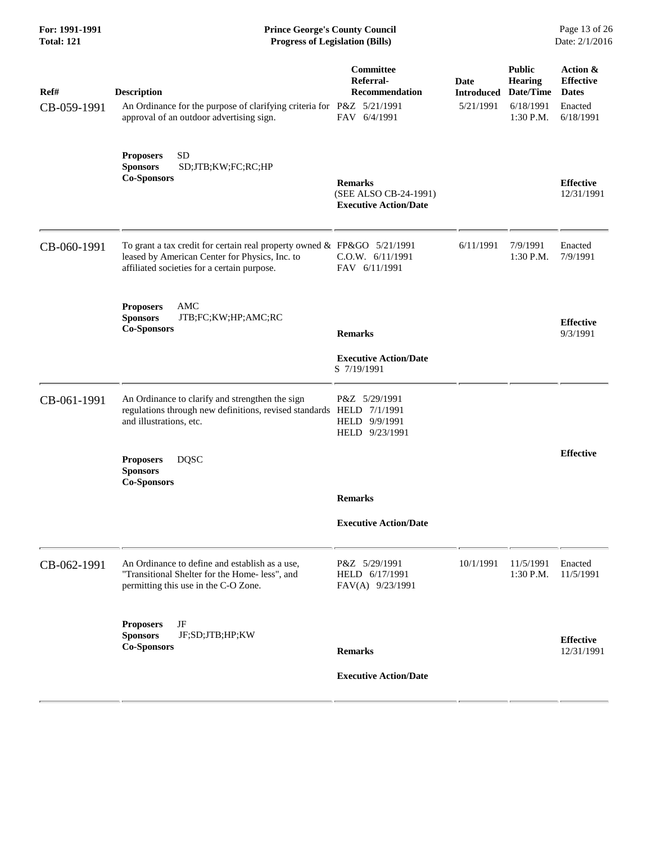| For: 1991-1991<br><b>Total: 121</b> | <b>Prince George's County Council</b><br><b>Progress of Legislation (Bills)</b>                                                                                          |                                                                         |                                 |                                                                        | Page 13 of 26<br>Date: 2/1/2016                                      |
|-------------------------------------|--------------------------------------------------------------------------------------------------------------------------------------------------------------------------|-------------------------------------------------------------------------|---------------------------------|------------------------------------------------------------------------|----------------------------------------------------------------------|
| Ref#<br>CB-059-1991                 | <b>Description</b><br>An Ordinance for the purpose of clarifying criteria for P&Z 5/21/1991<br>approval of an outdoor advertising sign.                                  | Committee<br>Referral-<br>Recommendation<br>FAV 6/4/1991                | Date<br>Introduced<br>5/21/1991 | <b>Public</b><br><b>Hearing</b><br>Date/Time<br>6/18/1991<br>1:30 P.M. | Action &<br><b>Effective</b><br><b>Dates</b><br>Enacted<br>6/18/1991 |
|                                     | <b>SD</b><br><b>Proposers</b><br><b>Sponsors</b><br>SD;JTB;KW;FC;RC;HP<br><b>Co-Sponsors</b>                                                                             | <b>Remarks</b><br>(SEE ALSO CB-24-1991)<br><b>Executive Action/Date</b> |                                 |                                                                        | <b>Effective</b><br>12/31/1991                                       |
| CB-060-1991                         | To grant a tax credit for certain real property owned & FP&GO 5/21/1991<br>leased by American Center for Physics, Inc. to<br>affiliated societies for a certain purpose. | C.0.W. 6/11/1991<br>FAV 6/11/1991                                       | 6/11/1991                       | 7/9/1991<br>1:30 P.M.                                                  | Enacted<br>7/9/1991                                                  |
|                                     | AMC<br><b>Proposers</b><br><b>Sponsors</b><br>JTB;FC;KW;HP;AMC;RC<br><b>Co-Sponsors</b>                                                                                  | <b>Remarks</b><br><b>Executive Action/Date</b>                          |                                 |                                                                        | <b>Effective</b><br>9/3/1991                                         |
| CB-061-1991                         | An Ordinance to clarify and strengthen the sign<br>regulations through new definitions, revised standards HELD 7/1/1991<br>and illustrations, etc.                       | S 7/19/1991<br>P&Z 5/29/1991<br>HELD 9/9/1991<br>HELD 9/23/1991         |                                 |                                                                        |                                                                      |
|                                     | <b>DQSC</b><br><b>Proposers</b><br><b>Sponsors</b><br><b>Co-Sponsors</b>                                                                                                 | <b>Remarks</b>                                                          |                                 |                                                                        | <b>Effective</b>                                                     |
|                                     |                                                                                                                                                                          | <b>Executive Action/Date</b>                                            |                                 |                                                                        |                                                                      |
| CB-062-1991                         | An Ordinance to define and establish as a use,<br>"Transitional Shelter for the Home- less", and<br>permitting this use in the C-O Zone.                                 | P&Z 5/29/1991<br>HELD 6/17/1991<br>FAV(A) 9/23/1991                     | 10/1/1991                       | 11/5/1991<br>1:30 P.M.                                                 | Enacted<br>11/5/1991                                                 |
|                                     | JF<br><b>Proposers</b><br>JF;SD;JTB;HP;KW<br><b>Sponsors</b><br><b>Co-Sponsors</b>                                                                                       | <b>Remarks</b>                                                          |                                 |                                                                        | <b>Effective</b><br>12/31/1991                                       |
|                                     |                                                                                                                                                                          | <b>Executive Action/Date</b>                                            |                                 |                                                                        |                                                                      |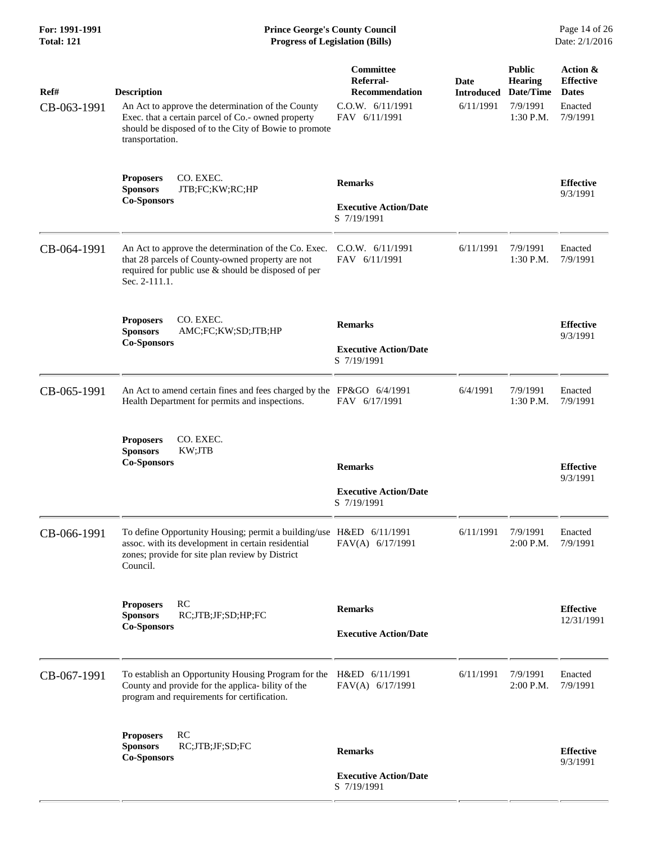| For: 1991-1991<br><b>Total: 121</b> | <b>Prince George's County Council</b><br>Page 14 of 26<br>Date: 2/1/2016<br><b>Progress of Legislation (Bills)</b>                                                                                        |                                                                                      |                                        |                                                                       |                                                                     |
|-------------------------------------|-----------------------------------------------------------------------------------------------------------------------------------------------------------------------------------------------------------|--------------------------------------------------------------------------------------|----------------------------------------|-----------------------------------------------------------------------|---------------------------------------------------------------------|
| Ref#<br>CB-063-1991                 | <b>Description</b><br>An Act to approve the determination of the County<br>Exec. that a certain parcel of Co.- owned property<br>should be disposed of to the City of Bowie to promote<br>transportation. | Committee<br>Referral-<br><b>Recommendation</b><br>C.0.W. 6/11/1991<br>FAV 6/11/1991 | Date<br><b>Introduced</b><br>6/11/1991 | <b>Public</b><br><b>Hearing</b><br>Date/Time<br>7/9/1991<br>1:30 P.M. | Action &<br><b>Effective</b><br><b>Dates</b><br>Enacted<br>7/9/1991 |
|                                     | CO. EXEC.<br><b>Proposers</b><br><b>Sponsors</b><br>JTB;FC;KW;RC;HP<br><b>Co-Sponsors</b>                                                                                                                 | <b>Remarks</b><br><b>Executive Action/Date</b><br>S 7/19/1991                        |                                        |                                                                       | <b>Effective</b><br>9/3/1991                                        |
| CB-064-1991                         | An Act to approve the determination of the Co. Exec.<br>that 28 parcels of County-owned property are not<br>required for public use & should be disposed of per<br>Sec. 2-111.1.                          | C.O.W. 6/11/1991<br>FAV 6/11/1991                                                    | 6/11/1991                              | 7/9/1991<br>1:30 P.M.                                                 | Enacted<br>7/9/1991                                                 |
|                                     | CO. EXEC.<br><b>Proposers</b><br>AMC;FC;KW;SD;JTB;HP<br><b>Sponsors</b><br><b>Co-Sponsors</b>                                                                                                             | <b>Remarks</b><br><b>Executive Action/Date</b><br>S 7/19/1991                        |                                        |                                                                       | <b>Effective</b><br>9/3/1991                                        |
| CB-065-1991                         | An Act to amend certain fines and fees charged by the FP&GO 6/4/1991<br>Health Department for permits and inspections.                                                                                    | FAV 6/17/1991                                                                        | 6/4/1991                               | 7/9/1991<br>$1:30$ P.M.                                               | Enacted<br>7/9/1991                                                 |
|                                     | CO. EXEC.<br><b>Proposers</b><br><b>Sponsors</b><br>KW;JTB<br><b>Co-Sponsors</b>                                                                                                                          | <b>Remarks</b><br><b>Executive Action/Date</b><br>S 7/19/1991                        |                                        |                                                                       | <b>Effective</b><br>9/3/1991                                        |
| CB-066-1991                         | To define Opportunity Housing; permit a building/use H&ED 6/11/1991<br>assoc. with its development in certain residential<br>zones; provide for site plan review by District<br>Council.                  | FAV(A) 6/17/1991                                                                     | 6/11/1991                              | 7/9/1991<br>2:00 P.M.                                                 | Enacted<br>7/9/1991                                                 |
|                                     | RC<br><b>Proposers</b><br>RC;JTB;JF;SD;HP;FC<br><b>Sponsors</b><br><b>Co-Sponsors</b>                                                                                                                     | <b>Remarks</b><br><b>Executive Action/Date</b>                                       |                                        |                                                                       | <b>Effective</b><br>12/31/1991                                      |
| CB-067-1991                         | To establish an Opportunity Housing Program for the<br>County and provide for the applica- bility of the<br>program and requirements for certification.                                                   | H&ED 6/11/1991<br>FAV(A) 6/17/1991                                                   | 6/11/1991                              | 7/9/1991<br>2:00 P.M.                                                 | Enacted<br>7/9/1991                                                 |
|                                     | RC<br><b>Proposers</b><br><b>Sponsors</b><br>RC;JTB;JF;SD;FC<br><b>Co-Sponsors</b>                                                                                                                        | <b>Remarks</b>                                                                       |                                        |                                                                       | <b>Effective</b><br>9/3/1991                                        |
|                                     |                                                                                                                                                                                                           | <b>Executive Action/Date</b><br>S 7/19/1991                                          |                                        |                                                                       |                                                                     |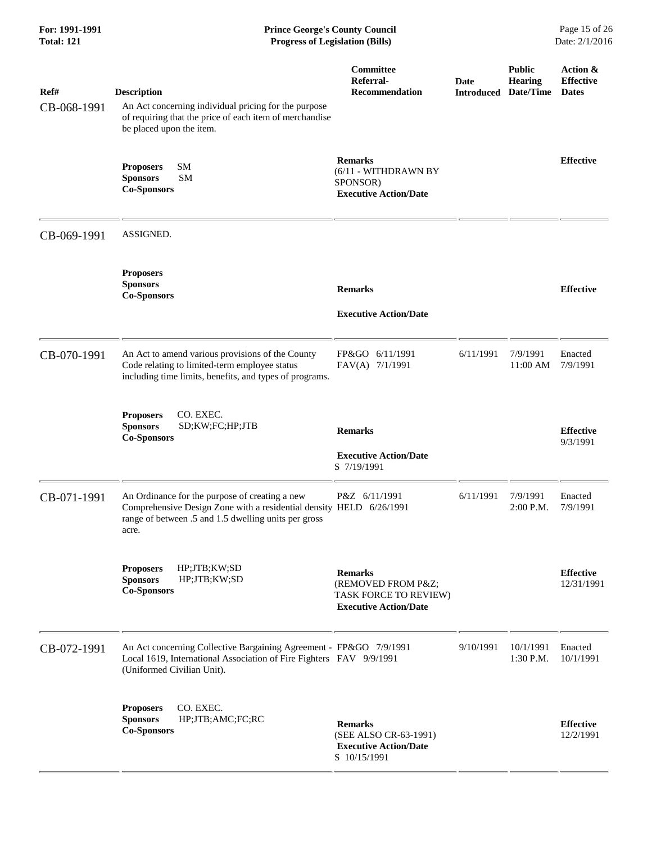| For: 1991-1991<br><b>Total: 121</b> | <b>Prince George's County Council</b><br>Page 15 of 26<br>Date: 2/1/2016<br><b>Progress of Legislation (Bills)</b>                                                                     |                                                                                              |                           |                                       |                                              |
|-------------------------------------|----------------------------------------------------------------------------------------------------------------------------------------------------------------------------------------|----------------------------------------------------------------------------------------------|---------------------------|---------------------------------------|----------------------------------------------|
| Ref#<br>CB-068-1991                 | <b>Description</b><br>An Act concerning individual pricing for the purpose<br>of requiring that the price of each item of merchandise<br>be placed upon the item.                      | <b>Committee</b><br>Referral-<br><b>Recommendation</b>                                       | Date<br><b>Introduced</b> | <b>Public</b><br>Hearing<br>Date/Time | Action &<br><b>Effective</b><br><b>Dates</b> |
|                                     | <b>SM</b><br><b>Proposers</b><br><b>SM</b><br><b>Sponsors</b><br><b>Co-Sponsors</b>                                                                                                    | <b>Remarks</b><br>(6/11 - WITHDRAWN BY<br>SPONSOR)<br><b>Executive Action/Date</b>           |                           |                                       | <b>Effective</b>                             |
| CB-069-1991                         | ASSIGNED.                                                                                                                                                                              |                                                                                              |                           |                                       |                                              |
|                                     | <b>Proposers</b><br><b>Sponsors</b><br><b>Co-Sponsors</b>                                                                                                                              | <b>Remarks</b><br><b>Executive Action/Date</b>                                               |                           |                                       | <b>Effective</b>                             |
| CB-070-1991                         | An Act to amend various provisions of the County<br>Code relating to limited-term employee status<br>including time limits, benefits, and types of programs.                           | FP&GO 6/11/1991<br>FAV(A) 7/1/1991                                                           | 6/11/1991                 | 7/9/1991<br>11:00 AM                  | Enacted<br>7/9/1991                          |
|                                     | CO. EXEC.<br><b>Proposers</b><br><b>Sponsors</b><br>SD;KW;FC;HP;JTB<br><b>Co-Sponsors</b>                                                                                              | <b>Remarks</b><br><b>Executive Action/Date</b><br>S 7/19/1991                                |                           |                                       | <b>Effective</b><br>9/3/1991                 |
| CB-071-1991                         | An Ordinance for the purpose of creating a new<br>Comprehensive Design Zone with a residential density HELD 6/26/1991<br>range of between .5 and 1.5 dwelling units per gross<br>acre. | P&Z 6/11/1991                                                                                | 6/11/1991                 | 7/9/1991<br>2:00 P.M. 7/9/1991        | Enacted                                      |
|                                     | HP;JTB;KW;SD<br><b>Proposers</b><br><b>Sponsors</b><br>HP;JTB;KW;SD<br><b>Co-Sponsors</b>                                                                                              | <b>Remarks</b><br>(REMOVED FROM P&Z<br>TASK FORCE TO REVIEW)<br><b>Executive Action/Date</b> |                           |                                       | <b>Effective</b><br>12/31/1991               |
| CB-072-1991                         | An Act concerning Collective Bargaining Agreement - FP&GO 7/9/1991<br>Local 1619, International Association of Fire Fighters FAV 9/9/1991<br>(Uniformed Civilian Unit).                |                                                                                              | 9/10/1991                 | 10/1/1991<br>1:30 P.M.                | Enacted<br>10/1/1991                         |
|                                     | CO. EXEC.<br><b>Proposers</b><br><b>Sponsors</b><br>HP;JTB;AMC;FC;RC<br><b>Co-Sponsors</b>                                                                                             | <b>Remarks</b><br>(SEE ALSO CR-63-1991)<br><b>Executive Action/Date</b><br>S 10/15/1991      |                           |                                       | <b>Effective</b><br>12/2/1991                |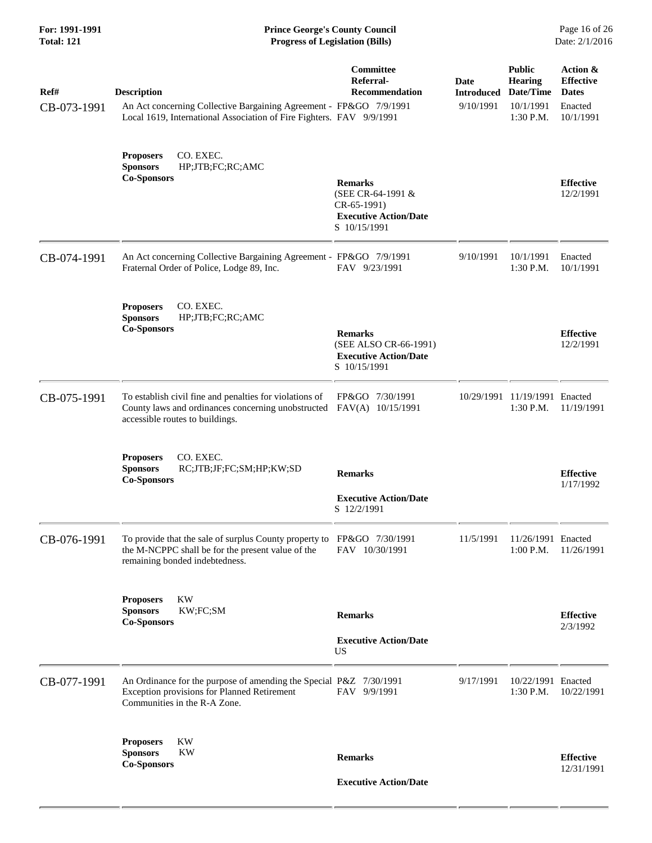| For: 1991-1991<br><b>Total: 121</b> | <b>Prince George's County Council</b><br>Page 16 of 26<br><b>Progress of Legislation (Bills)</b><br>Date: 2/1/2016                                               |                                                                                                      |                                        |                                                                        |                                                                      |
|-------------------------------------|------------------------------------------------------------------------------------------------------------------------------------------------------------------|------------------------------------------------------------------------------------------------------|----------------------------------------|------------------------------------------------------------------------|----------------------------------------------------------------------|
| Ref#<br>CB-073-1991                 | <b>Description</b><br>An Act concerning Collective Bargaining Agreement - FP&GO 7/9/1991<br>Local 1619, International Association of Fire Fighters. FAV 9/9/1991 | <b>Committee</b><br>Referral-<br>Recommendation                                                      | Date<br><b>Introduced</b><br>9/10/1991 | <b>Public</b><br><b>Hearing</b><br>Date/Time<br>10/1/1991<br>1:30 P.M. | Action &<br><b>Effective</b><br><b>Dates</b><br>Enacted<br>10/1/1991 |
|                                     | CO. EXEC.<br><b>Proposers</b><br><b>Sponsors</b><br>HP;JTB;FC;RC;AMC<br><b>Co-Sponsors</b>                                                                       | <b>Remarks</b><br>(SEE CR-64-1991 &<br>$CR-65-1991)$<br><b>Executive Action/Date</b><br>S 10/15/1991 |                                        |                                                                        | <b>Effective</b><br>12/2/1991                                        |
| CB-074-1991                         | An Act concerning Collective Bargaining Agreement - FP&GO 7/9/1991<br>Fraternal Order of Police, Lodge 89, Inc.                                                  | FAV 9/23/1991                                                                                        | 9/10/1991                              | 10/1/1991<br>1:30 P.M.                                                 | Enacted<br>10/1/1991                                                 |
|                                     | CO. EXEC.<br><b>Proposers</b><br><b>Sponsors</b><br>HP;JTB;FC;RC;AMC<br><b>Co-Sponsors</b>                                                                       | <b>Remarks</b><br>(SEE ALSO CR-66-1991)<br><b>Executive Action/Date</b><br>S 10/15/1991              |                                        |                                                                        | <b>Effective</b><br>12/2/1991                                        |
| CB-075-1991                         | To establish civil fine and penalties for violations of<br>County laws and ordinances concerning unobstructed<br>accessible routes to buildings.                 | FP&GO 7/30/1991<br>FAV(A) 10/15/1991                                                                 |                                        | 10/29/1991 11/19/1991 Enacted<br>1:30 P.M.                             | 11/19/1991                                                           |
|                                     | CO. EXEC.<br><b>Proposers</b><br><b>Sponsors</b><br>RC;JTB;JF;FC;SM;HP;KW;SD<br><b>Co-Sponsors</b>                                                               | <b>Remarks</b><br><b>Executive Action/Date</b><br>S 12/2/1991                                        |                                        |                                                                        | <b>Effective</b><br>1/17/1992                                        |
| CB-076-1991                         | To provide that the sale of surplus County property to<br>the M-NCPPC shall be for the present value of the<br>remaining bonded indebtedness.                    | FP&GO 7/30/1991<br>FAV 10/30/1991                                                                    | 11/5/1991                              | 11/26/1991 Enacted<br>1:00 P.M.                                        | 11/26/1991                                                           |
|                                     | KW<br><b>Proposers</b><br><b>Sponsors</b><br>KW;FC;SM<br><b>Co-Sponsors</b>                                                                                      | <b>Remarks</b><br><b>Executive Action/Date</b><br>US                                                 |                                        |                                                                        | <b>Effective</b><br>2/3/1992                                         |
| CB-077-1991                         | An Ordinance for the purpose of amending the Special P&Z 7/30/1991<br>Exception provisions for Planned Retirement<br>Communities in the R-A Zone.                | FAV 9/9/1991                                                                                         | 9/17/1991                              | 10/22/1991 Enacted<br>1:30 P.M.                                        | 10/22/1991                                                           |
|                                     | <b>Proposers</b><br>KW<br><b>KW</b><br><b>Sponsors</b><br><b>Co-Sponsors</b>                                                                                     | <b>Remarks</b><br><b>Executive Action/Date</b>                                                       |                                        |                                                                        | <b>Effective</b><br>12/31/1991                                       |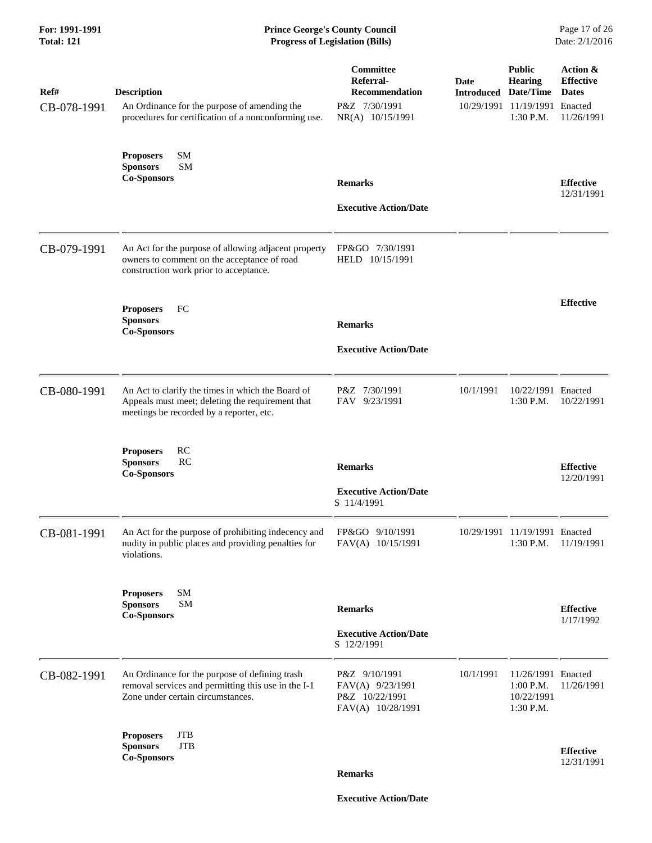## **For: 1991-1991 Prince George's County Council** Page 17 of 26<br> **Prince George's County Council** Page 17 of 26<br> **Progress of Legislation (Bills)** Date: 2/1/2016 **Total: 121 Progress of Legislation (Bills)**

| Ref#<br>CB-078-1991 | <b>Description</b><br>An Ordinance for the purpose of amending the<br>procedures for certification of a nonconforming use.                        | Committee<br>Referral-<br><b>Recommendation</b><br>P&Z 7/30/1991<br>NR(A) 10/15/1991 | <b>Date</b><br><b>Introduced Date/Time</b> | <b>Public</b><br><b>Hearing</b><br>10/29/1991 11/19/1991 Enacted<br>1:30 P.M. | Action &<br><b>Effective</b><br><b>Dates</b><br>11/26/1991 |
|---------------------|---------------------------------------------------------------------------------------------------------------------------------------------------|--------------------------------------------------------------------------------------|--------------------------------------------|-------------------------------------------------------------------------------|------------------------------------------------------------|
|                     | SM<br><b>Proposers</b><br><b>Sponsors</b><br><b>SM</b><br><b>Co-Sponsors</b>                                                                      | <b>Remarks</b><br><b>Executive Action/Date</b>                                       |                                            |                                                                               | <b>Effective</b><br>12/31/1991                             |
| CB-079-1991         | An Act for the purpose of allowing adjacent property<br>owners to comment on the acceptance of road<br>construction work prior to acceptance.     | FP&GO 7/30/1991<br>HELD 10/15/1991                                                   |                                            |                                                                               |                                                            |
|                     | <b>Proposers</b><br>FC<br><b>Sponsors</b><br><b>Co-Sponsors</b>                                                                                   | <b>Remarks</b><br><b>Executive Action/Date</b>                                       |                                            |                                                                               | <b>Effective</b>                                           |
| CB-080-1991         | An Act to clarify the times in which the Board of<br>Appeals must meet; deleting the requirement that<br>meetings be recorded by a reporter, etc. | P&Z 7/30/1991<br>FAV 9/23/1991                                                       | 10/1/1991                                  | 10/22/1991 Enacted<br>1:30 P.M.                                               | 10/22/1991                                                 |
|                     | RC<br><b>Proposers</b><br><b>Sponsors</b><br>RC<br><b>Co-Sponsors</b>                                                                             | <b>Remarks</b><br><b>Executive Action/Date</b><br>S 11/4/1991                        |                                            |                                                                               | <b>Effective</b><br>12/20/1991                             |
| CB-081-1991         | An Act for the purpose of prohibiting indecency and<br>nudity in public places and providing penalties for<br>violations.                         | FP&GO 9/10/1991<br>FAV(A) 10/15/1991                                                 |                                            | 10/29/1991 11/19/1991 Enacted<br>1:30 P.M.                                    | 11/19/1991                                                 |
|                     | SM<br><b>Proposers</b><br><b>Sponsors</b><br>SM<br><b>Co-Sponsors</b>                                                                             | <b>Remarks</b><br><b>Executive Action/Date</b><br>S 12/2/1991                        |                                            |                                                                               | <b>Effective</b><br>1/17/1992                              |
| CB-082-1991         | An Ordinance for the purpose of defining trash<br>removal services and permitting this use in the I-1<br>Zone under certain circumstances.        | P&Z 9/10/1991<br>FAV(A) 9/23/1991<br>P&Z 10/22/1991<br>FAV(A) 10/28/1991             | 10/1/1991                                  | 11/26/1991 Enacted<br>$1:00$ P.M.<br>10/22/1991<br>1:30 P.M.                  | 11/26/1991                                                 |
|                     | <b>Proposers</b><br>JTB<br><b>JTB</b><br><b>Sponsors</b><br><b>Co-Sponsors</b>                                                                    | <b>Remarks</b>                                                                       |                                            |                                                                               | <b>Effective</b><br>12/31/1991                             |

 **Executive Action/Date**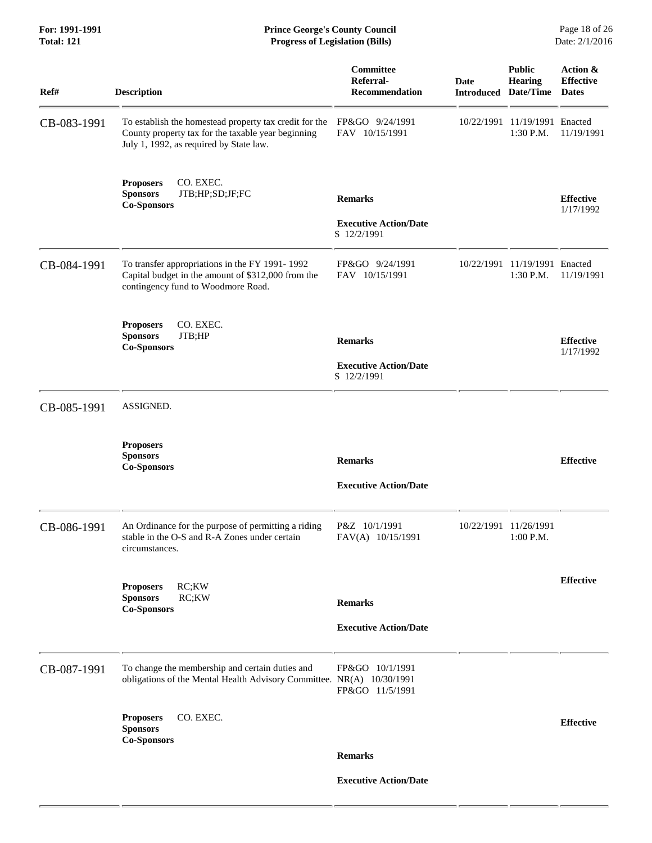**For: 1991-1991 Prince George's County Council** Page 18 of 26<br> **Prince George's County Council** Page 18 of 26<br> **Progress of Legislation (Bills)** Date: 2/1/2016 **Total: 121 Progress of Legislation (Bills)** 

| Ref#        | <b>Description</b>                                                                                                                                      | Committee<br>Referral-<br><b>Recommendation</b>               | <b>Date</b><br><b>Introduced</b> | <b>Public</b><br><b>Hearing</b><br>Date/Time | Action &<br><b>Effective</b><br><b>Dates</b> |
|-------------|---------------------------------------------------------------------------------------------------------------------------------------------------------|---------------------------------------------------------------|----------------------------------|----------------------------------------------|----------------------------------------------|
| CB-083-1991 | To establish the homestead property tax credit for the<br>County property tax for the taxable year beginning<br>July 1, 1992, as required by State law. | FP&GO 9/24/1991<br>FAV 10/15/1991                             | 10/22/1991                       | 11/19/1991 Enacted<br>1:30 P.M.              | 11/19/1991                                   |
|             | <b>Proposers</b><br>CO. EXEC.<br>JTB;HP;SD;JF;FC<br><b>Sponsors</b><br><b>Co-Sponsors</b>                                                               | <b>Remarks</b><br><b>Executive Action/Date</b><br>S 12/2/1991 |                                  |                                              | <b>Effective</b><br>1/17/1992                |
| CB-084-1991 | To transfer appropriations in the FY 1991-1992<br>Capital budget in the amount of \$312,000 from the<br>contingency fund to Woodmore Road.              | FP&GO 9/24/1991<br>FAV 10/15/1991                             | 10/22/1991                       | 11/19/1991 Enacted<br>1:30 P.M.              | 11/19/1991                                   |
|             | CO. EXEC.<br><b>Proposers</b><br><b>Sponsors</b><br>JTB;HP<br><b>Co-Sponsors</b>                                                                        | <b>Remarks</b><br><b>Executive Action/Date</b><br>S 12/2/1991 |                                  |                                              | <b>Effective</b><br>1/17/1992                |
| CB-085-1991 | ASSIGNED.                                                                                                                                               |                                                               |                                  |                                              |                                              |
|             | <b>Proposers</b><br><b>Sponsors</b><br><b>Co-Sponsors</b>                                                                                               | <b>Remarks</b><br><b>Executive Action/Date</b>                |                                  |                                              | <b>Effective</b>                             |
| CB-086-1991 | An Ordinance for the purpose of permitting a riding<br>stable in the O-S and R-A Zones under certain<br>circumstances.                                  | P&Z 10/1/1991<br>FAV(A) 10/15/1991                            |                                  | 10/22/1991 11/26/1991<br>1:00 P.M.           |                                              |
|             | RC;KW<br><b>Proposers</b><br><b>Sponsors</b><br>RC;KW<br><b>Co-Sponsors</b>                                                                             | <b>Remarks</b><br><b>Executive Action/Date</b>                |                                  |                                              | <b>Effective</b>                             |
| CB-087-1991 | To change the membership and certain duties and<br>obligations of the Mental Health Advisory Committee. NR(A) 10/30/1991                                | FP&GO 10/1/1991<br>FP&GO 11/5/1991                            |                                  |                                              |                                              |
|             | CO. EXEC.<br><b>Proposers</b><br><b>Sponsors</b><br><b>Co-Sponsors</b>                                                                                  |                                                               |                                  |                                              | <b>Effective</b>                             |
|             |                                                                                                                                                         | <b>Remarks</b><br><b>Executive Action/Date</b>                |                                  |                                              |                                              |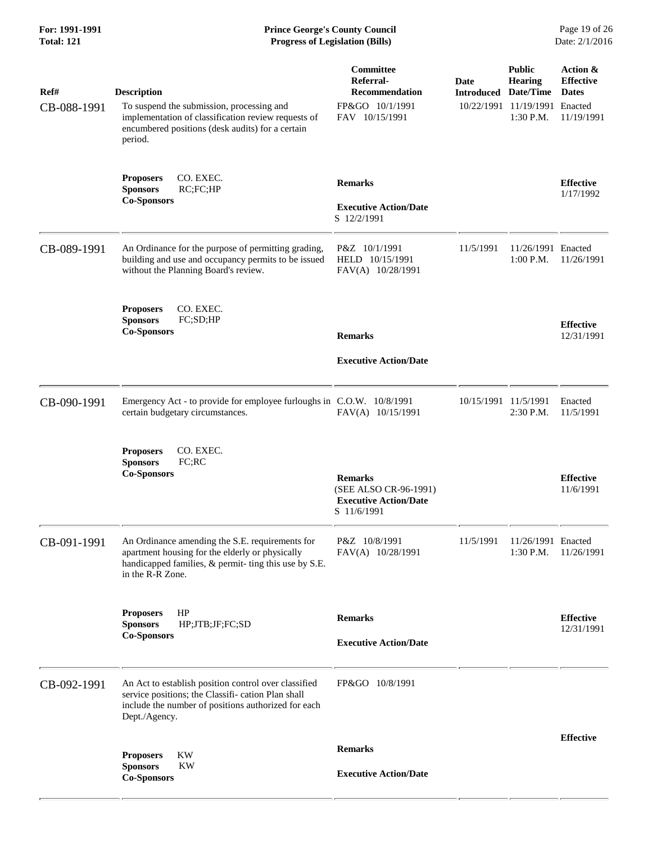| Ref#<br>CB-088-1991 | <b>Description</b><br>To suspend the submission, processing and<br>implementation of classification review requests of<br>encumbered positions (desk audits) for a certain<br>period. | Committee<br>Referral-<br><b>Recommendation</b><br>FP&GO 10/1/1991<br>FAV 10/15/1991   | Date<br><b>Introduced Date/Time</b> | <b>Public</b><br><b>Hearing</b><br>10/22/1991 11/19/1991 Enacted<br>1:30 P.M. | Action &<br><b>Effective</b><br><b>Dates</b><br>11/19/1991 |
|---------------------|---------------------------------------------------------------------------------------------------------------------------------------------------------------------------------------|----------------------------------------------------------------------------------------|-------------------------------------|-------------------------------------------------------------------------------|------------------------------------------------------------|
|                     | CO. EXEC.<br><b>Proposers</b><br><b>Sponsors</b><br>RC;FC;HP<br><b>Co-Sponsors</b>                                                                                                    | <b>Remarks</b><br><b>Executive Action/Date</b><br>S 12/2/1991                          |                                     |                                                                               | <b>Effective</b><br>1/17/1992                              |
| CB-089-1991         | An Ordinance for the purpose of permitting grading,<br>building and use and occupancy permits to be issued<br>without the Planning Board's review.                                    | P&Z 10/1/1991<br>HELD 10/15/1991<br>FAV(A) 10/28/1991                                  | 11/5/1991                           | 11/26/1991 Enacted<br>1:00 P.M.                                               | 11/26/1991                                                 |
|                     | CO. EXEC.<br><b>Proposers</b><br><b>Sponsors</b><br>FC;SD;HP<br><b>Co-Sponsors</b>                                                                                                    | <b>Remarks</b><br><b>Executive Action/Date</b>                                         |                                     |                                                                               | <b>Effective</b><br>12/31/1991                             |
| CB-090-1991         | Emergency Act - to provide for employee furloughs in C.O.W. 10/8/1991<br>certain budgetary circumstances.                                                                             | FAV(A) 10/15/1991                                                                      | 10/15/1991 11/5/1991                | 2:30 P.M.                                                                     | Enacted<br>11/5/1991                                       |
|                     | CO. EXEC.<br><b>Proposers</b><br><b>Sponsors</b><br>FC;RC<br><b>Co-Sponsors</b>                                                                                                       | <b>Remarks</b><br>(SEE ALSO CR-96-1991)<br><b>Executive Action/Date</b><br>S 11/6/1991 |                                     |                                                                               | <b>Effective</b><br>11/6/1991                              |
| CB-091-1991         | An Ordinance amending the S.E. requirements for<br>apartment housing for the elderly or physically<br>handicapped families, & permit- ting this use by S.E.<br>in the R-R Zone.       | P&Z 10/8/1991<br>FAV(A) 10/28/1991                                                     | 11/5/1991                           | 11/26/1991 Enacted<br>1:30 P.M.                                               | 11/26/1991                                                 |
|                     | HP<br><b>Proposers</b><br><b>Sponsors</b><br>HP;JTB;JF;FC;SD<br><b>Co-Sponsors</b>                                                                                                    | <b>Remarks</b><br><b>Executive Action/Date</b>                                         |                                     |                                                                               | <b>Effective</b><br>12/31/1991                             |
| CB-092-1991         | An Act to establish position control over classified<br>service positions; the Classifi-cation Plan shall<br>include the number of positions authorized for each<br>Dept./Agency.     | FP&GO 10/8/1991                                                                        |                                     |                                                                               |                                                            |
|                     | KW<br><b>Proposers</b><br><b>Sponsors</b><br>KW<br><b>Co-Sponsors</b>                                                                                                                 | <b>Remarks</b><br><b>Executive Action/Date</b>                                         |                                     |                                                                               | <b>Effective</b>                                           |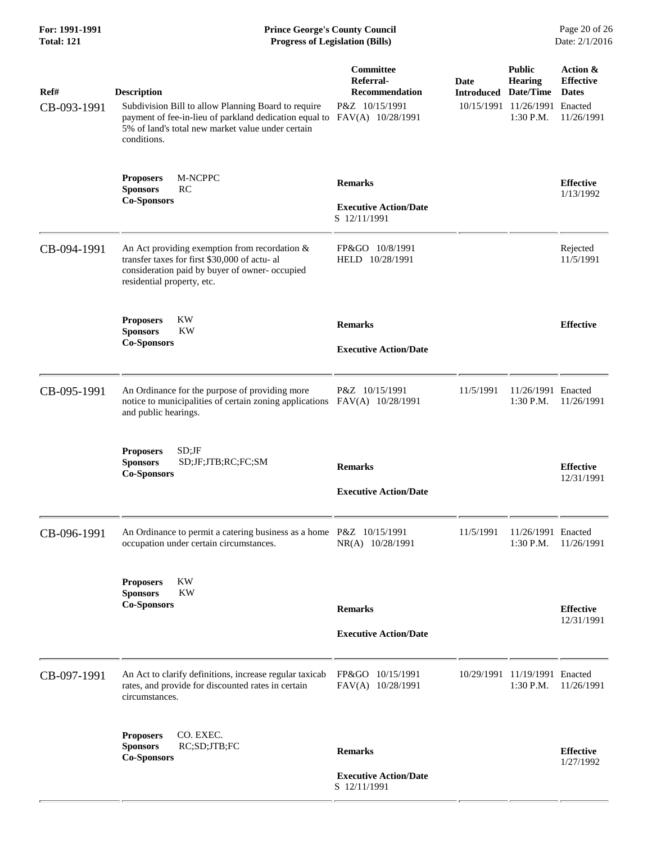| For: 1991-1991<br><b>Total: 121</b> | <b>Prince George's County Council</b><br>Page 20 of 26<br>Date: 2/1/2016<br><b>Progress of Legislation (Bills)</b>                                                                                      |                                                                                        |                                     |                                                                                 |                                                            |
|-------------------------------------|---------------------------------------------------------------------------------------------------------------------------------------------------------------------------------------------------------|----------------------------------------------------------------------------------------|-------------------------------------|---------------------------------------------------------------------------------|------------------------------------------------------------|
| Ref#<br>CB-093-1991                 | <b>Description</b><br>Subdivision Bill to allow Planning Board to require<br>payment of fee-in-lieu of parkland dedication equal to<br>5% of land's total new market value under certain<br>conditions. | Committee<br>Referral-<br><b>Recommendation</b><br>P&Z 10/15/1991<br>FAV(A) 10/28/1991 | Date<br><b>Introduced Date/Time</b> | <b>Public</b><br><b>Hearing</b><br>10/15/1991 11/26/1991 Enacted<br>$1:30$ P.M. | Action &<br><b>Effective</b><br><b>Dates</b><br>11/26/1991 |
|                                     | M-NCPPC<br><b>Proposers</b><br><b>Sponsors</b><br>RC<br><b>Co-Sponsors</b>                                                                                                                              | <b>Remarks</b><br><b>Executive Action/Date</b><br>S 12/11/1991                         |                                     |                                                                                 | <b>Effective</b><br>1/13/1992                              |
| CB-094-1991                         | An Act providing exemption from recordation $\&$<br>transfer taxes for first \$30,000 of actu- al<br>consideration paid by buyer of owner- occupied<br>residential property, etc.                       | FP&GO 10/8/1991<br>HELD 10/28/1991                                                     |                                     |                                                                                 | Rejected<br>11/5/1991                                      |
|                                     | <b>Proposers</b><br>KW<br><b>Sponsors</b><br>KW<br><b>Co-Sponsors</b>                                                                                                                                   | <b>Remarks</b><br><b>Executive Action/Date</b>                                         |                                     |                                                                                 | <b>Effective</b>                                           |
| CB-095-1991                         | An Ordinance for the purpose of providing more<br>notice to municipalities of certain zoning applications FAV(A) 10/28/1991<br>and public hearings.                                                     | P&Z 10/15/1991                                                                         | 11/5/1991                           | 11/26/1991 Enacted<br>$1:30$ P.M.                                               | 11/26/1991                                                 |
|                                     | $SD;$ JF<br><b>Proposers</b><br><b>Sponsors</b><br>SD;JF;JTB;RC;FC;SM<br><b>Co-Sponsors</b>                                                                                                             | <b>Remarks</b><br><b>Executive Action/Date</b>                                         |                                     |                                                                                 | <b>Effective</b><br>12/31/1991                             |
| CB-096-1991                         | An Ordinance to permit a catering business as a home P&Z 10/15/1991<br>occupation under certain circumstances.                                                                                          | NR(A) 10/28/1991                                                                       | 11/5/1991                           | 11/26/1991 Enacted<br>1:30 P.M.                                                 | 11/26/1991                                                 |
|                                     | <b>KW</b><br><b>Proposers</b><br><b>KW</b><br><b>Sponsors</b><br><b>Co-Sponsors</b>                                                                                                                     | <b>Remarks</b><br><b>Executive Action/Date</b>                                         |                                     |                                                                                 | <b>Effective</b><br>12/31/1991                             |
| CB-097-1991                         | An Act to clarify definitions, increase regular taxicab<br>rates, and provide for discounted rates in certain<br>circumstances.                                                                         | FP&GO 10/15/1991<br>FAV(A) 10/28/1991                                                  |                                     | 10/29/1991 11/19/1991 Enacted<br>$1:30$ P.M.                                    | 11/26/1991                                                 |
|                                     | CO. EXEC.<br><b>Proposers</b><br>RC;SD;JTB;FC<br><b>Sponsors</b><br><b>Co-Sponsors</b>                                                                                                                  | <b>Remarks</b>                                                                         |                                     |                                                                                 | <b>Effective</b><br>1/27/1992                              |
|                                     |                                                                                                                                                                                                         | <b>Executive Action/Date</b><br>S 12/11/1991                                           |                                     |                                                                                 |                                                            |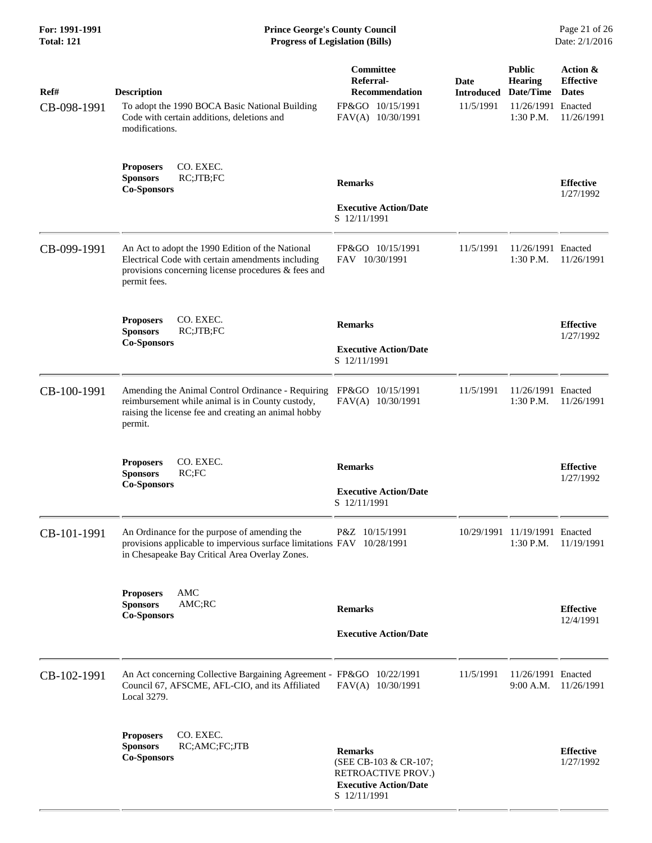| Ref#<br>CB-098-1991 | <b>Description</b><br>To adopt the 1990 BOCA Basic National Building<br>Code with certain additions, deletions and<br>modifications.                                         | Committee<br>Referral-<br><b>Recommendation</b><br>FP&GO 10/15/1991<br>FAV(A) 10/30/1991                      | <b>Date</b><br><b>Introduced</b><br>11/5/1991 | <b>Public</b><br><b>Hearing</b><br>Date/Time<br>11/26/1991 Enacted<br>$1:30$ P.M. | Action &<br><b>Effective</b><br><b>Dates</b><br>11/26/1991 |
|---------------------|------------------------------------------------------------------------------------------------------------------------------------------------------------------------------|---------------------------------------------------------------------------------------------------------------|-----------------------------------------------|-----------------------------------------------------------------------------------|------------------------------------------------------------|
|                     | CO. EXEC.<br><b>Proposers</b><br>RC;JTB;FC<br><b>Sponsors</b><br><b>Co-Sponsors</b>                                                                                          | <b>Remarks</b>                                                                                                |                                               |                                                                                   | <b>Effective</b><br>1/27/1992                              |
|                     |                                                                                                                                                                              | <b>Executive Action/Date</b><br>S 12/11/1991                                                                  |                                               |                                                                                   |                                                            |
| CB-099-1991         | An Act to adopt the 1990 Edition of the National<br>Electrical Code with certain amendments including<br>provisions concerning license procedures & fees and<br>permit fees. | FP&GO 10/15/1991<br>FAV 10/30/1991                                                                            | 11/5/1991                                     | 11/26/1991 Enacted<br>1:30 P.M.                                                   | 11/26/1991                                                 |
|                     | CO. EXEC.<br><b>Proposers</b>                                                                                                                                                | <b>Remarks</b>                                                                                                |                                               |                                                                                   | <b>Effective</b>                                           |
|                     | RC;JTB;FC<br><b>Sponsors</b><br><b>Co-Sponsors</b>                                                                                                                           | <b>Executive Action/Date</b><br>S 12/11/1991                                                                  |                                               |                                                                                   | 1/27/1992                                                  |
| CB-100-1991         | Amending the Animal Control Ordinance - Requiring<br>reimbursement while animal is in County custody,<br>raising the license fee and creating an animal hobby<br>permit.     | FP&GO 10/15/1991<br>FAV(A) 10/30/1991                                                                         | 11/5/1991                                     | 11/26/1991 Enacted<br>$1:30$ P.M.                                                 | 11/26/1991                                                 |
|                     | CO. EXEC.<br><b>Proposers</b><br><b>Sponsors</b><br>RC;FC<br><b>Co-Sponsors</b>                                                                                              | <b>Remarks</b><br><b>Executive Action/Date</b><br>S 12/11/1991                                                |                                               |                                                                                   | <b>Effective</b><br>1/27/1992                              |
| CB-101-1991         | An Ordinance for the purpose of amending the<br>provisions applicable to impervious surface limitations FAV 10/28/1991<br>in Chesapeake Bay Critical Area Overlay Zones.     | P&Z 10/15/1991                                                                                                |                                               | 10/29/1991 11/19/1991 Enacted<br>1:30 P.M.                                        | 11/19/1991                                                 |
|                     | AMC<br><b>Proposers</b><br><b>Sponsors</b><br>AMC;RC<br><b>Co-Sponsors</b>                                                                                                   | <b>Remarks</b>                                                                                                |                                               |                                                                                   | <b>Effective</b><br>12/4/1991                              |
|                     |                                                                                                                                                                              | <b>Executive Action/Date</b>                                                                                  |                                               |                                                                                   |                                                            |
| CB-102-1991         | An Act concerning Collective Bargaining Agreement - FP&GO 10/22/1991<br>Council 67, AFSCME, AFL-CIO, and its Affiliated<br>Local 3279.                                       | FAV(A) 10/30/1991                                                                                             | 11/5/1991                                     | 11/26/1991 Enacted<br>$9:00$ A.M.                                                 | 11/26/1991                                                 |
|                     | <b>Proposers</b><br>CO. EXEC.<br><b>Sponsors</b><br>RC;AMC;FC;JTB<br><b>Co-Sponsors</b>                                                                                      | <b>Remarks</b><br>(SEE CB-103 & CR-107;<br>RETROACTIVE PROV.)<br><b>Executive Action/Date</b><br>S 12/11/1991 |                                               |                                                                                   | <b>Effective</b><br>1/27/1992                              |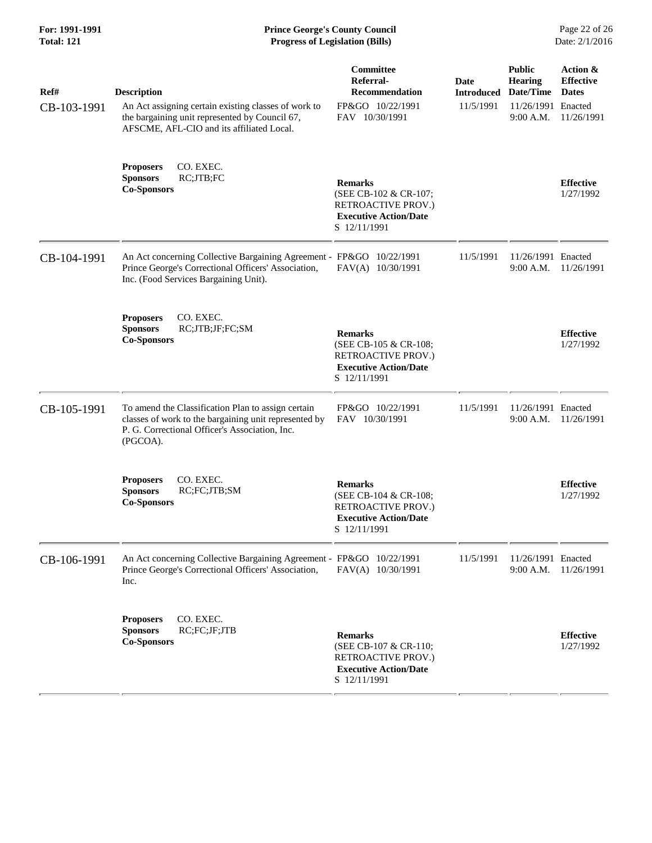| Ref#<br>CB-103-1991 | <b>Description</b><br>An Act assigning certain existing classes of work to<br>the bargaining unit represented by Council 67,<br>AFSCME, AFL-CIO and its affiliated Local. | Committee<br>Referral-<br><b>Recommendation</b><br>FP&GO 10/22/1991<br>FAV 10/30/1991                                | Date<br><b>Introduced</b><br>11/5/1991 | <b>Public</b><br><b>Hearing</b><br>Date/Time<br>11/26/1991 Enacted<br>9:00 A.M. | Action &<br><b>Effective</b><br><b>Dates</b><br>11/26/1991 |
|---------------------|---------------------------------------------------------------------------------------------------------------------------------------------------------------------------|----------------------------------------------------------------------------------------------------------------------|----------------------------------------|---------------------------------------------------------------------------------|------------------------------------------------------------|
|                     | <b>Proposers</b><br>CO. EXEC.<br>RC;JTB;FC<br><b>Sponsors</b><br><b>Co-Sponsors</b>                                                                                       | <b>Remarks</b><br>(SEE CB-102 & CR-107;<br>RETROACTIVE PROV.)<br><b>Executive Action/Date</b><br>S 12/11/1991        |                                        |                                                                                 | <b>Effective</b><br>1/27/1992                              |
| CB-104-1991         | An Act concerning Collective Bargaining Agreement - FP&GO 10/22/1991<br>Prince George's Correctional Officers' Association,<br>Inc. (Food Services Bargaining Unit).      | FAV(A) 10/30/1991                                                                                                    | 11/5/1991                              | 11/26/1991 Enacted<br>9:00 A.M.                                                 | 11/26/1991                                                 |
|                     | CO. EXEC.<br><b>Proposers</b><br><b>Sponsors</b><br>RC;JTB;JF;FC;SM<br><b>Co-Sponsors</b>                                                                                 | <b>Remarks</b><br>(SEE CB-105 & CR-108;<br><b>RETROACTIVE PROV.)</b><br><b>Executive Action/Date</b><br>S 12/11/1991 |                                        |                                                                                 | <b>Effective</b><br>1/27/1992                              |
| CB-105-1991         | To amend the Classification Plan to assign certain<br>classes of work to the bargaining unit represented by<br>P. G. Correctional Officer's Association, Inc.<br>(PGCOA). | FP&GO 10/22/1991<br>FAV 10/30/1991                                                                                   | 11/5/1991                              | 11/26/1991 Enacted<br>9:00 A.M.                                                 | 11/26/1991                                                 |
|                     | CO. EXEC.<br><b>Proposers</b><br>RC;FC;JTB;SM<br><b>Sponsors</b><br><b>Co-Sponsors</b>                                                                                    | <b>Remarks</b><br>(SEE CB-104 & CR-108;<br><b>RETROACTIVE PROV.)</b><br><b>Executive Action/Date</b><br>S 12/11/1991 |                                        |                                                                                 | <b>Effective</b><br>1/27/1992                              |
| CB-106-1991         | An Act concerning Collective Bargaining Agreement - FP&GO 10/22/1991<br>Prince George's Correctional Officers' Association,<br>Inc.                                       | FAV(A) 10/30/1991                                                                                                    | 11/5/1991                              | 11/26/1991 Enacted<br>9:00 A.M.                                                 | 11/26/1991                                                 |
|                     | CO. EXEC.<br><b>Proposers</b><br><b>Sponsors</b><br>RC;FC;JF;JTB<br><b>Co-Sponsors</b>                                                                                    | <b>Remarks</b><br>(SEE CB-107 & CR-110;<br>RETROACTIVE PROV.)<br><b>Executive Action/Date</b><br>S 12/11/1991        |                                        |                                                                                 | <b>Effective</b><br>1/27/1992                              |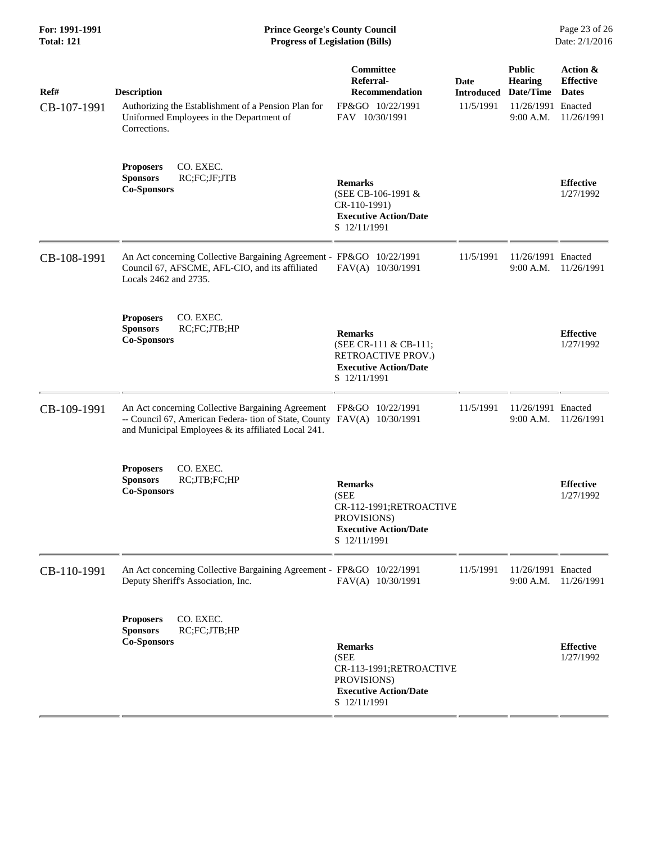| For: 1991-1991<br><b>Total: 121</b> | <b>Prince George's County Council</b><br>Date: 2/1/2016<br><b>Progress of Legislation (Bills)</b>                                                                                   |                                                                                                                   |                                        |                                                                                   |                                                            |
|-------------------------------------|-------------------------------------------------------------------------------------------------------------------------------------------------------------------------------------|-------------------------------------------------------------------------------------------------------------------|----------------------------------------|-----------------------------------------------------------------------------------|------------------------------------------------------------|
| Ref#<br>CB-107-1991                 | <b>Description</b><br>Authorizing the Establishment of a Pension Plan for<br>Uniformed Employees in the Department of<br>Corrections.                                               | Committee<br>Referral-<br>Recommendation<br>FP&GO 10/22/1991<br>FAV 10/30/1991                                    | Date<br><b>Introduced</b><br>11/5/1991 | <b>Public</b><br><b>Hearing</b><br>Date/Time<br>11/26/1991 Enacted<br>$9:00$ A.M. | Action &<br><b>Effective</b><br><b>Dates</b><br>11/26/1991 |
|                                     | CO. EXEC.<br><b>Proposers</b><br>RC;FC;JF;JTB<br><b>Sponsors</b><br><b>Co-Sponsors</b>                                                                                              | <b>Remarks</b><br>(SEE CB-106-1991 &<br>CR-110-1991)<br><b>Executive Action/Date</b><br>S 12/11/1991              |                                        |                                                                                   | <b>Effective</b><br>1/27/1992                              |
| CB-108-1991                         | An Act concerning Collective Bargaining Agreement - FP&GO 10/22/1991<br>Council 67, AFSCME, AFL-CIO, and its affiliated<br>Locals 2462 and 2735.                                    | FAV(A) 10/30/1991                                                                                                 | 11/5/1991                              | 11/26/1991 Enacted<br>9:00 A.M.                                                   | 11/26/1991                                                 |
|                                     | CO. EXEC.<br><b>Proposers</b><br><b>Sponsors</b><br>RC;FC;JTB;HP<br><b>Co-Sponsors</b>                                                                                              | <b>Remarks</b><br>(SEE CR-111 & CB-111;<br>RETROACTIVE PROV.)<br><b>Executive Action/Date</b><br>S 12/11/1991     |                                        |                                                                                   | <b>Effective</b><br>1/27/1992                              |
| CB-109-1991                         | An Act concerning Collective Bargaining Agreement<br>-- Council 67, American Federa- tion of State, County FAV(A) 10/30/1991<br>and Municipal Employees & its affiliated Local 241. | FP&GO 10/22/1991                                                                                                  | 11/5/1991                              | 11/26/1991 Enacted<br>9:00 A.M.                                                   | 11/26/1991                                                 |
|                                     | CO. EXEC.<br><b>Proposers</b><br><b>Sponsors</b><br>RC;JTB;FC;HP<br><b>Co-Sponsors</b>                                                                                              | <b>Remarks</b><br>(SEE<br>CR-112-1991;RETROACTIVE<br>PROVISIONS)<br><b>Executive Action/Date</b><br>S 12/11/1991  |                                        |                                                                                   | <b>Effective</b><br>1/27/1992                              |
| CB-110-1991                         | An Act concerning Collective Bargaining Agreement - FP&GO 10/22/1991<br>Deputy Sheriff's Association, Inc.                                                                          | FAV(A) 10/30/1991                                                                                                 | 11/5/1991                              | 11/26/1991 Enacted<br>9:00 A.M.                                                   | 11/26/1991                                                 |
|                                     | CO. EXEC.<br><b>Proposers</b><br><b>Sponsors</b><br>RC;FC;JTB;HP<br><b>Co-Sponsors</b>                                                                                              | <b>Remarks</b><br>(SEE)<br>CR-113-1991;RETROACTIVE<br>PROVISIONS)<br><b>Executive Action/Date</b><br>S 12/11/1991 |                                        |                                                                                   | <b>Effective</b><br>1/27/1992                              |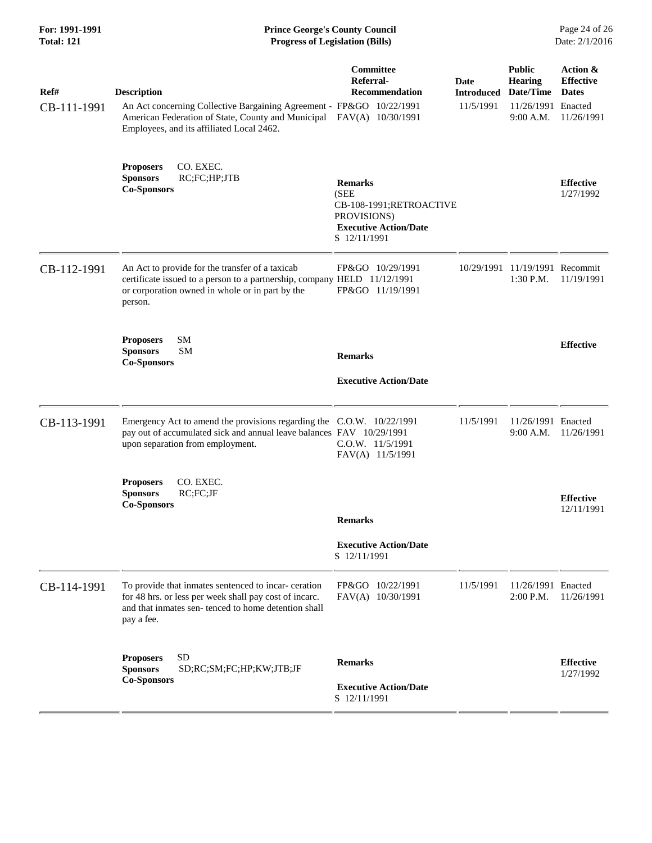| For: 1991-1991<br><b>Total: 121</b> | <b>Prince George's County Council</b><br><b>Progress of Legislation (Bills)</b>                                                                                                               |                                                                                                                  |                                        |                                                                                 | Page 24 of 26<br>Date: 2/1/2016                            |
|-------------------------------------|-----------------------------------------------------------------------------------------------------------------------------------------------------------------------------------------------|------------------------------------------------------------------------------------------------------------------|----------------------------------------|---------------------------------------------------------------------------------|------------------------------------------------------------|
| Ref#<br>CB-111-1991                 | <b>Description</b><br>An Act concerning Collective Bargaining Agreement - FP&GO 10/22/1991<br>American Federation of State, County and Municipal<br>Employees, and its affiliated Local 2462. | Committee<br>Referral-<br><b>Recommendation</b><br>FAV(A) 10/30/1991                                             | Date<br><b>Introduced</b><br>11/5/1991 | <b>Public</b><br><b>Hearing</b><br>Date/Time<br>11/26/1991 Enacted<br>9:00 A.M. | Action &<br><b>Effective</b><br><b>Dates</b><br>11/26/1991 |
|                                     | CO. EXEC.<br><b>Proposers</b><br>RC;FC;HP;JTB<br><b>Sponsors</b><br><b>Co-Sponsors</b>                                                                                                        | <b>Remarks</b><br>(SEE<br>CB-108-1991;RETROACTIVE<br>PROVISIONS)<br><b>Executive Action/Date</b><br>S 12/11/1991 |                                        |                                                                                 | <b>Effective</b><br>1/27/1992                              |
| CB-112-1991                         | An Act to provide for the transfer of a taxicab<br>certificate issued to a person to a partnership, company HELD 11/12/1991<br>or corporation owned in whole or in part by the<br>person.     | FP&GO 10/29/1991<br>FP&GO 11/19/1991                                                                             |                                        | 10/29/1991 11/19/1991 Recommit<br>1:30 P.M.                                     | 11/19/1991                                                 |
|                                     | SM<br><b>Proposers</b><br><b>SM</b><br><b>Sponsors</b><br><b>Co-Sponsors</b>                                                                                                                  | <b>Remarks</b><br><b>Executive Action/Date</b>                                                                   |                                        |                                                                                 | <b>Effective</b>                                           |
| CB-113-1991                         | Emergency Act to amend the provisions regarding the C.O.W. 10/22/1991<br>pay out of accumulated sick and annual leave balances FAV 10/29/1991<br>upon separation from employment.             | C.O.W. 11/5/1991<br>FAV(A) 11/5/1991                                                                             | 11/5/1991                              | 11/26/1991 Enacted<br>9:00 A.M.                                                 | 11/26/1991                                                 |
|                                     | CO. EXEC.<br><b>Proposers</b><br>RC:FC:JF<br><b>Sponsors</b><br><b>Co-Sponsors</b>                                                                                                            | <b>Remarks</b><br><b>Executive Action/Date</b><br>S 12/11/1991                                                   |                                        |                                                                                 | <b>Effective</b><br>12/11/1991                             |
| CB-114-1991                         | To provide that inmates sentenced to incar- ceration<br>for 48 hrs. or less per week shall pay cost of incarc.<br>and that inmates sen-tenced to home detention shall<br>pay a fee.           | FP&GO 10/22/1991<br>FAV(A) 10/30/1991                                                                            | 11/5/1991                              | 11/26/1991 Enacted<br>2:00 P.M.                                                 | 11/26/1991                                                 |
|                                     | <b>SD</b><br><b>Proposers</b><br><b>Sponsors</b><br>SD;RC;SM;FC;HP;KW;JTB;JF<br><b>Co-Sponsors</b>                                                                                            | <b>Remarks</b><br><b>Executive Action/Date</b><br>S 12/11/1991                                                   |                                        |                                                                                 | <b>Effective</b><br>1/27/1992                              |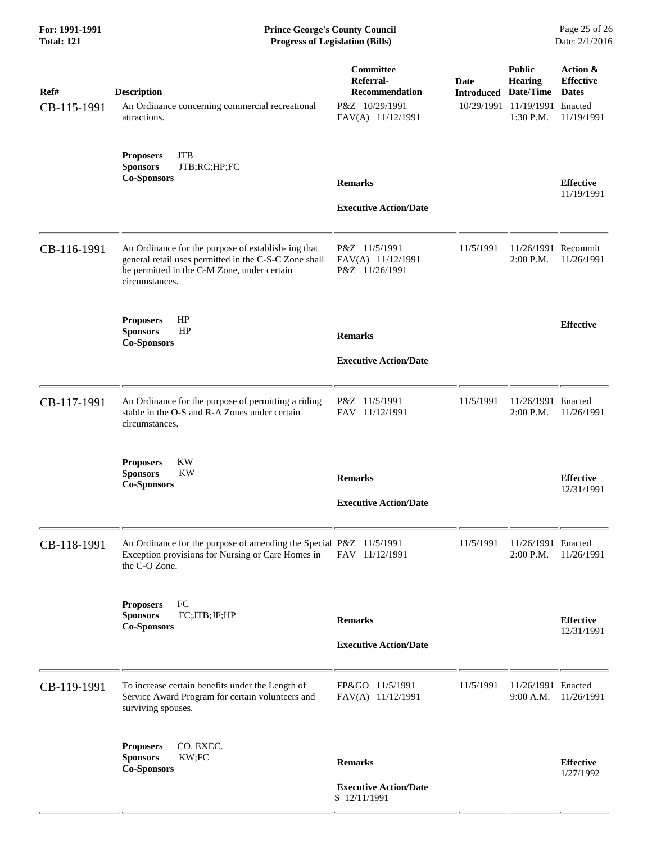## **For: 1991-1991 Prince George's County Council** Page 25 of 26<br> **Prince George's County Council** Page 25 of 26<br> **Progress of Legislation (Bills)** Date: 2/1/2016 **Total: 121 Progress of Legislation (Bills)**

| Ref#<br>CB-115-1991 | <b>Description</b><br>An Ordinance concerning commercial recreational<br>attractions.                                                                                         | <b>Committee</b><br>Referral-<br><b>Recommendation</b><br>P&Z 10/29/1991<br>FAV(A) 11/12/1991 | Date<br><b>Introduced</b> | <b>Public</b><br>Hearing<br>Date/Time<br>10/29/1991 11/19/1991 Enacted<br>1:30 P.M. | Action &<br><b>Effective</b><br><b>Dates</b><br>11/19/1991 |
|---------------------|-------------------------------------------------------------------------------------------------------------------------------------------------------------------------------|-----------------------------------------------------------------------------------------------|---------------------------|-------------------------------------------------------------------------------------|------------------------------------------------------------|
|                     | <b>JTB</b><br><b>Proposers</b><br>JTB;RC;HP;FC<br><b>Sponsors</b><br><b>Co-Sponsors</b>                                                                                       | <b>Remarks</b><br><b>Executive Action/Date</b>                                                |                           |                                                                                     | <b>Effective</b><br>11/19/1991                             |
| CB-116-1991         | An Ordinance for the purpose of establish- ing that<br>general retail uses permitted in the C-S-C Zone shall<br>be permitted in the C-M Zone, under certain<br>circumstances. | P&Z 11/5/1991<br>FAV(A) 11/12/1991<br>P&Z 11/26/1991                                          | 11/5/1991                 | 11/26/1991 Recommit<br>2:00 P.M.                                                    | 11/26/1991                                                 |
|                     | HP<br><b>Proposers</b><br>HP<br><b>Sponsors</b><br><b>Co-Sponsors</b>                                                                                                         | <b>Remarks</b><br><b>Executive Action/Date</b>                                                |                           |                                                                                     | <b>Effective</b>                                           |
| CB-117-1991         | An Ordinance for the purpose of permitting a riding<br>stable in the O-S and R-A Zones under certain<br>circumstances.                                                        | P&Z 11/5/1991<br>FAV 11/12/1991                                                               | 11/5/1991                 | 11/26/1991 Enacted<br>2:00 P.M.                                                     | 11/26/1991                                                 |
|                     | <b>KW</b><br><b>Proposers</b><br><b>Sponsors</b><br>KW<br><b>Co-Sponsors</b>                                                                                                  | <b>Remarks</b><br><b>Executive Action/Date</b>                                                |                           |                                                                                     | <b>Effective</b><br>12/31/1991                             |
| CB-118-1991         | An Ordinance for the purpose of amending the Special P&Z 11/5/1991<br>Exception provisions for Nursing or Care Homes in<br>the C-O Zone.                                      | FAV 11/12/1991                                                                                | 11/5/1991                 | 11/26/1991 Enacted<br>2:00 P.M.                                                     | 11/26/1991                                                 |
|                     | <b>Proposers</b><br>FC<br>FC;JTB;JF;HP<br><b>Sponsors</b><br><b>Co-Sponsors</b>                                                                                               | <b>Remarks</b><br><b>Executive Action/Date</b>                                                |                           |                                                                                     | <b>Effective</b><br>12/31/1991                             |
| CB-119-1991         | To increase certain benefits under the Length of<br>Service Award Program for certain volunteers and<br>surviving spouses.                                                    | FP&GO 11/5/1991<br>FAV(A) 11/12/1991                                                          | 11/5/1991                 | 11/26/1991 Enacted<br>9:00 A.M.                                                     | 11/26/1991                                                 |
|                     | CO. EXEC.<br><b>Proposers</b><br><b>Sponsors</b><br>KW;FC<br><b>Co-Sponsors</b>                                                                                               | <b>Remarks</b><br><b>Executive Action/Date</b><br>S 12/11/1991                                |                           |                                                                                     | <b>Effective</b><br>1/27/1992                              |